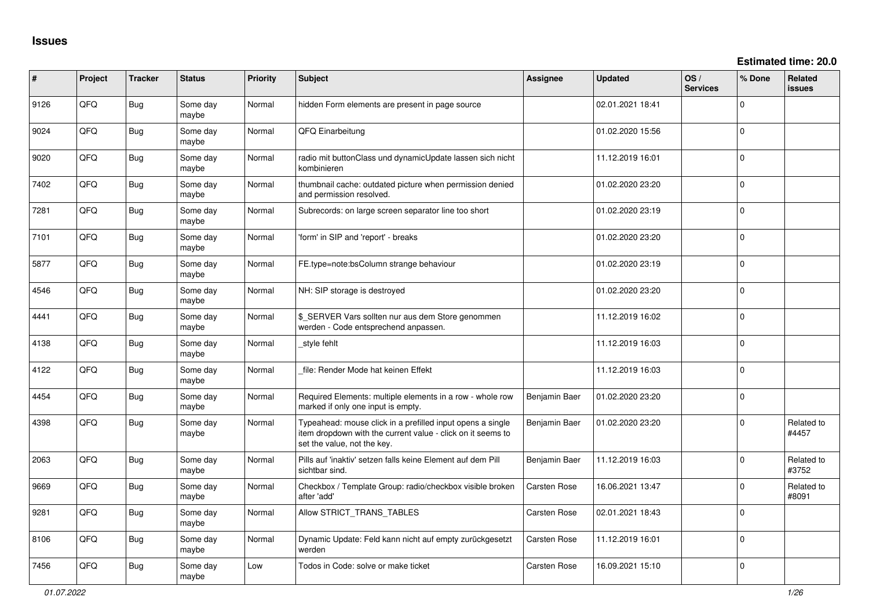**Estimated time: 20.0**

| ∦    | Project | <b>Tracker</b> | <b>Status</b>     | <b>Priority</b> | <b>Subject</b>                                                                                                                                           | Assignee            | <b>Updated</b>   | OS/<br><b>Services</b> | % Done      | Related<br><b>issues</b> |
|------|---------|----------------|-------------------|-----------------|----------------------------------------------------------------------------------------------------------------------------------------------------------|---------------------|------------------|------------------------|-------------|--------------------------|
| 9126 | QFQ     | Bug            | Some day<br>maybe | Normal          | hidden Form elements are present in page source                                                                                                          |                     | 02.01.2021 18:41 |                        | $\mathbf 0$ |                          |
| 9024 | QFQ     | Bug            | Some day<br>maybe | Normal          | QFQ Einarbeitung                                                                                                                                         |                     | 01.02.2020 15:56 |                        | $\mathbf 0$ |                          |
| 9020 | QFQ     | Bug            | Some day<br>maybe | Normal          | radio mit buttonClass und dynamicUpdate lassen sich nicht<br>kombinieren                                                                                 |                     | 11.12.2019 16:01 |                        | $\mathbf 0$ |                          |
| 7402 | QFQ     | Bug            | Some day<br>maybe | Normal          | thumbnail cache: outdated picture when permission denied<br>and permission resolved.                                                                     |                     | 01.02.2020 23:20 |                        | $\mathbf 0$ |                          |
| 7281 | QFQ     | Bug            | Some day<br>maybe | Normal          | Subrecords: on large screen separator line too short                                                                                                     |                     | 01.02.2020 23:19 |                        | $\mathbf 0$ |                          |
| 7101 | QFQ     | Bug            | Some day<br>maybe | Normal          | 'form' in SIP and 'report' - breaks                                                                                                                      |                     | 01.02.2020 23:20 |                        | $\mathbf 0$ |                          |
| 5877 | QFQ     | Bug            | Some day<br>maybe | Normal          | FE.type=note:bsColumn strange behaviour                                                                                                                  |                     | 01.02.2020 23:19 |                        | $\Omega$    |                          |
| 4546 | QFQ     | Bug            | Some day<br>maybe | Normal          | NH: SIP storage is destroyed                                                                                                                             |                     | 01.02.2020 23:20 |                        | $\Omega$    |                          |
| 4441 | QFQ     | Bug            | Some day<br>maybe | Normal          | \$_SERVER Vars sollten nur aus dem Store genommen<br>werden - Code entsprechend anpassen.                                                                |                     | 11.12.2019 16:02 |                        | $\mathbf 0$ |                          |
| 4138 | QFQ     | Bug            | Some day<br>maybe | Normal          | style fehlt                                                                                                                                              |                     | 11.12.2019 16:03 |                        | $\mathbf 0$ |                          |
| 4122 | QFQ.    | Bug            | Some day<br>maybe | Normal          | file: Render Mode hat keinen Effekt                                                                                                                      |                     | 11.12.2019 16:03 |                        | $\mathbf 0$ |                          |
| 4454 | QFQ     | Bug            | Some day<br>maybe | Normal          | Required Elements: multiple elements in a row - whole row<br>marked if only one input is empty.                                                          | Benjamin Baer       | 01.02.2020 23:20 |                        | $\mathbf 0$ |                          |
| 4398 | QFQ     | Bug            | Some day<br>maybe | Normal          | Typeahead: mouse click in a prefilled input opens a single<br>item dropdown with the current value - click on it seems to<br>set the value, not the key. | Benjamin Baer       | 01.02.2020 23:20 |                        | $\mathbf 0$ | Related to<br>#4457      |
| 2063 | QFQ     | Bug            | Some day<br>maybe | Normal          | Pills auf 'inaktiv' setzen falls keine Element auf dem Pill<br>sichtbar sind.                                                                            | Benjamin Baer       | 11.12.2019 16:03 |                        | $\mathbf 0$ | Related to<br>#3752      |
| 9669 | QFQ     | Bug            | Some day<br>maybe | Normal          | Checkbox / Template Group: radio/checkbox visible broken<br>after 'add'                                                                                  | Carsten Rose        | 16.06.2021 13:47 |                        | $\mathbf 0$ | Related to<br>#8091      |
| 9281 | QFQ     | Bug            | Some day<br>maybe | Normal          | Allow STRICT_TRANS_TABLES                                                                                                                                | <b>Carsten Rose</b> | 02.01.2021 18:43 |                        | $\Omega$    |                          |
| 8106 | QFQ     | Bug            | Some day<br>maybe | Normal          | Dynamic Update: Feld kann nicht auf empty zurückgesetzt<br>werden                                                                                        | <b>Carsten Rose</b> | 11.12.2019 16:01 |                        | $\mathbf 0$ |                          |
| 7456 | QFQ     | Bug            | Some day<br>maybe | Low             | Todos in Code: solve or make ticket                                                                                                                      | Carsten Rose        | 16.09.2021 15:10 |                        | $\mathbf 0$ |                          |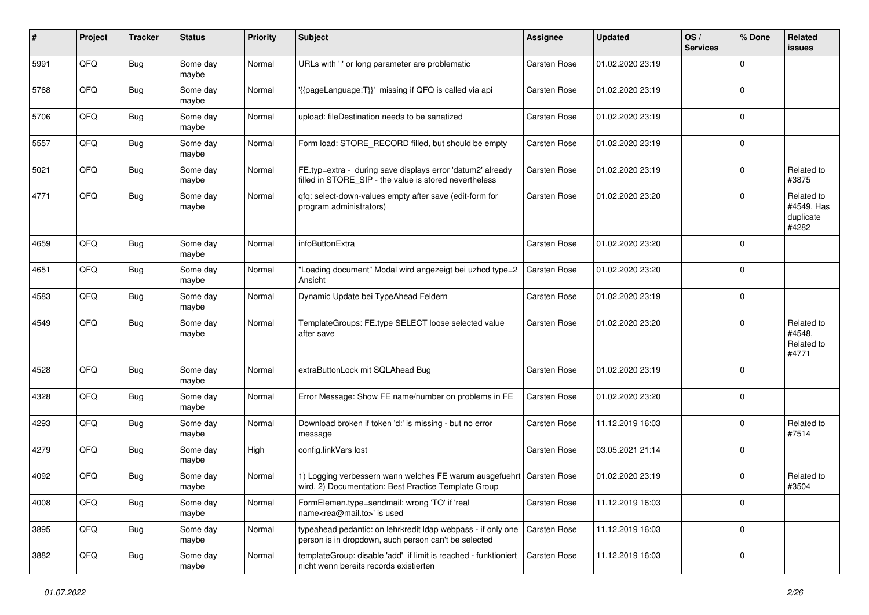| #    | Project | <b>Tracker</b> | <b>Status</b>     | <b>Priority</b> | <b>Subject</b>                                                                                                       | Assignee            | <b>Updated</b>   | OS/<br><b>Services</b> | % Done      | Related<br><b>issues</b>                       |
|------|---------|----------------|-------------------|-----------------|----------------------------------------------------------------------------------------------------------------------|---------------------|------------------|------------------------|-------------|------------------------------------------------|
| 5991 | QFQ     | <b>Bug</b>     | Some day<br>maybe | Normal          | URLs with ' ' or long parameter are problematic                                                                      | Carsten Rose        | 01.02.2020 23:19 |                        | $\Omega$    |                                                |
| 5768 | QFQ     | <b>Bug</b>     | Some day<br>maybe | Normal          | '{{pageLanguage:T}}' missing if QFQ is called via api                                                                | Carsten Rose        | 01.02.2020 23:19 |                        | $\mathbf 0$ |                                                |
| 5706 | QFQ     | <b>Bug</b>     | Some day<br>maybe | Normal          | upload: fileDestination needs to be sanatized                                                                        | Carsten Rose        | 01.02.2020 23:19 |                        | $\Omega$    |                                                |
| 5557 | QFQ     | <b>Bug</b>     | Some day<br>maybe | Normal          | Form load: STORE_RECORD filled, but should be empty                                                                  | Carsten Rose        | 01.02.2020 23:19 |                        | $\mathbf 0$ |                                                |
| 5021 | QFQ     | <b>Bug</b>     | Some day<br>maybe | Normal          | FE.typ=extra - during save displays error 'datum2' already<br>filled in STORE_SIP - the value is stored nevertheless | Carsten Rose        | 01.02.2020 23:19 |                        | $\mathbf 0$ | Related to<br>#3875                            |
| 4771 | QFQ     | Bug            | Some day<br>maybe | Normal          | qfq: select-down-values empty after save (edit-form for<br>program administrators)                                   | Carsten Rose        | 01.02.2020 23:20 |                        | $\Omega$    | Related to<br>#4549, Has<br>duplicate<br>#4282 |
| 4659 | QFQ     | <b>Bug</b>     | Some day<br>maybe | Normal          | infoButtonExtra                                                                                                      | Carsten Rose        | 01.02.2020 23:20 |                        | $\Omega$    |                                                |
| 4651 | QFQ     | <b>Bug</b>     | Some day<br>maybe | Normal          | "Loading document" Modal wird angezeigt bei uzhcd type=2<br>Ansicht                                                  | <b>Carsten Rose</b> | 01.02.2020 23:20 |                        | $\Omega$    |                                                |
| 4583 | QFQ     | <b>Bug</b>     | Some day<br>maybe | Normal          | Dynamic Update bei TypeAhead Feldern                                                                                 | Carsten Rose        | 01.02.2020 23:19 |                        | $\Omega$    |                                                |
| 4549 | QFQ     | <b>Bug</b>     | Some day<br>maybe | Normal          | TemplateGroups: FE.type SELECT loose selected value<br>after save                                                    | Carsten Rose        | 01.02.2020 23:20 |                        | $\Omega$    | Related to<br>#4548,<br>Related to<br>#4771    |
| 4528 | QFQ     | <b>Bug</b>     | Some day<br>maybe | Normal          | extraButtonLock mit SQLAhead Bug                                                                                     | Carsten Rose        | 01.02.2020 23:19 |                        | $\Omega$    |                                                |
| 4328 | QFQ     | <b>Bug</b>     | Some day<br>maybe | Normal          | Error Message: Show FE name/number on problems in FE                                                                 | Carsten Rose        | 01.02.2020 23:20 |                        | $\mathbf 0$ |                                                |
| 4293 | QFQ     | <b>Bug</b>     | Some day<br>maybe | Normal          | Download broken if token 'd:' is missing - but no error<br>message                                                   | Carsten Rose        | 11.12.2019 16:03 |                        | $\mathbf 0$ | Related to<br>#7514                            |
| 4279 | QFQ     | <b>Bug</b>     | Some day<br>maybe | High            | config.linkVars lost                                                                                                 | Carsten Rose        | 03.05.2021 21:14 |                        | 0           |                                                |
| 4092 | QFQ     | <b>Bug</b>     | Some day<br>maybe | Normal          | 1) Logging verbessern wann welches FE warum ausgefuehrt<br>wird, 2) Documentation: Best Practice Template Group      | <b>Carsten Rose</b> | 01.02.2020 23:19 |                        | $\Omega$    | Related to<br>#3504                            |
| 4008 | QFQ     | <b>Bug</b>     | Some day<br>maybe | Normal          | FormElemen.type=sendmail: wrong 'TO' if 'real<br>name <rea@mail.to>' is used</rea@mail.to>                           | Carsten Rose        | 11.12.2019 16:03 |                        | 0           |                                                |
| 3895 | QFQ     | Bug            | Some day<br>maybe | Normal          | typeahead pedantic: on lehrkredit Idap webpass - if only one<br>person is in dropdown, such person can't be selected | <b>Carsten Rose</b> | 11.12.2019 16:03 |                        | 0           |                                                |
| 3882 | QFQ     | Bug            | Some day<br>maybe | Normal          | templateGroup: disable 'add' if limit is reached - funktioniert<br>nicht wenn bereits records existierten            | Carsten Rose        | 11.12.2019 16:03 |                        | $\mathbf 0$ |                                                |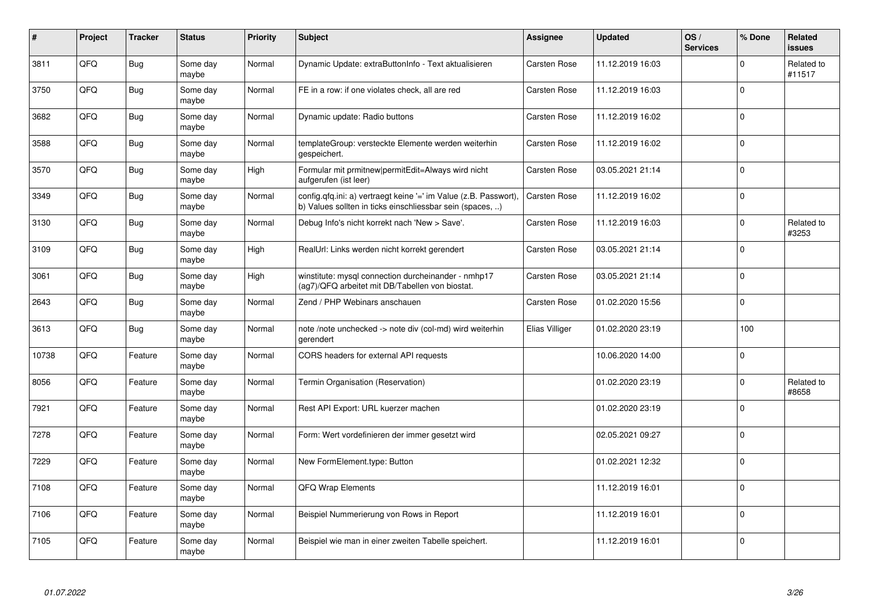| ∦     | Project | <b>Tracker</b> | <b>Status</b>     | <b>Priority</b> | <b>Subject</b>                                                                                                                | Assignee            | <b>Updated</b>   | OS/<br><b>Services</b> | % Done       | Related<br><b>issues</b> |
|-------|---------|----------------|-------------------|-----------------|-------------------------------------------------------------------------------------------------------------------------------|---------------------|------------------|------------------------|--------------|--------------------------|
| 3811  | QFQ     | Bug            | Some day<br>maybe | Normal          | Dynamic Update: extraButtonInfo - Text aktualisieren                                                                          | <b>Carsten Rose</b> | 11.12.2019 16:03 |                        | $\Omega$     | Related to<br>#11517     |
| 3750  | QFQ     | Bug            | Some day<br>maybe | Normal          | FE in a row: if one violates check, all are red                                                                               | Carsten Rose        | 11.12.2019 16:03 |                        | $\Omega$     |                          |
| 3682  | QFQ     | Bug            | Some day<br>maybe | Normal          | Dynamic update: Radio buttons                                                                                                 | Carsten Rose        | 11.12.2019 16:02 |                        | $\Omega$     |                          |
| 3588  | QFQ     | <b>Bug</b>     | Some day<br>maybe | Normal          | templateGroup: versteckte Elemente werden weiterhin<br>gespeichert.                                                           | Carsten Rose        | 11.12.2019 16:02 |                        | $\Omega$     |                          |
| 3570  | QFQ     | Bug            | Some day<br>maybe | High            | Formular mit prmitnew permitEdit=Always wird nicht<br>aufgerufen (ist leer)                                                   | <b>Carsten Rose</b> | 03.05.2021 21:14 |                        | $\mathbf 0$  |                          |
| 3349  | QFQ     | Bug            | Some day<br>maybe | Normal          | config.qfq.ini: a) vertraegt keine '=' im Value (z.B. Passwort),<br>b) Values sollten in ticks einschliessbar sein (spaces, ) | Carsten Rose        | 11.12.2019 16:02 |                        | $\Omega$     |                          |
| 3130  | QFQ     | <b>Bug</b>     | Some day<br>maybe | Normal          | Debug Info's nicht korrekt nach 'New > Save'.                                                                                 | Carsten Rose        | 11.12.2019 16:03 |                        | $\Omega$     | Related to<br>#3253      |
| 3109  | QFQ     | Bug            | Some day<br>maybe | High            | RealUrl: Links werden nicht korrekt gerendert                                                                                 | <b>Carsten Rose</b> | 03.05.2021 21:14 |                        | $\Omega$     |                          |
| 3061  | QFQ     | Bug            | Some day<br>maybe | High            | winstitute: mysql connection durcheinander - nmhp17<br>(ag7)/QFQ arbeitet mit DB/Tabellen von biostat.                        | Carsten Rose        | 03.05.2021 21:14 |                        | $\Omega$     |                          |
| 2643  | QFQ     | <b>Bug</b>     | Some day<br>maybe | Normal          | Zend / PHP Webinars anschauen                                                                                                 | <b>Carsten Rose</b> | 01.02.2020 15:56 |                        | $\Omega$     |                          |
| 3613  | QFQ     | Bug            | Some day<br>maybe | Normal          | note /note unchecked -> note div (col-md) wird weiterhin<br>gerendert                                                         | Elias Villiger      | 01.02.2020 23:19 |                        | 100          |                          |
| 10738 | QFQ     | Feature        | Some day<br>maybe | Normal          | CORS headers for external API requests                                                                                        |                     | 10.06.2020 14:00 |                        | $\Omega$     |                          |
| 8056  | QFQ     | Feature        | Some day<br>maybe | Normal          | Termin Organisation (Reservation)                                                                                             |                     | 01.02.2020 23:19 |                        | $\Omega$     | Related to<br>#8658      |
| 7921  | QFQ     | Feature        | Some day<br>maybe | Normal          | Rest API Export: URL kuerzer machen                                                                                           |                     | 01.02.2020 23:19 |                        | $\mathbf 0$  |                          |
| 7278  | QFQ     | Feature        | Some day<br>maybe | Normal          | Form: Wert vordefinieren der immer gesetzt wird                                                                               |                     | 02.05.2021 09:27 |                        | $\Omega$     |                          |
| 7229  | QFQ     | Feature        | Some day<br>maybe | Normal          | New FormElement.type: Button                                                                                                  |                     | 01.02.2021 12:32 |                        | $\Omega$     |                          |
| 7108  | QFQ     | Feature        | Some day<br>maybe | Normal          | QFQ Wrap Elements                                                                                                             |                     | 11.12.2019 16:01 |                        | $\mathbf{0}$ |                          |
| 7106  | QFQ     | Feature        | Some day<br>maybe | Normal          | Beispiel Nummerierung von Rows in Report                                                                                      |                     | 11.12.2019 16:01 |                        | $\Omega$     |                          |
| 7105  | QFQ     | Feature        | Some day<br>maybe | Normal          | Beispiel wie man in einer zweiten Tabelle speichert.                                                                          |                     | 11.12.2019 16:01 |                        | $\Omega$     |                          |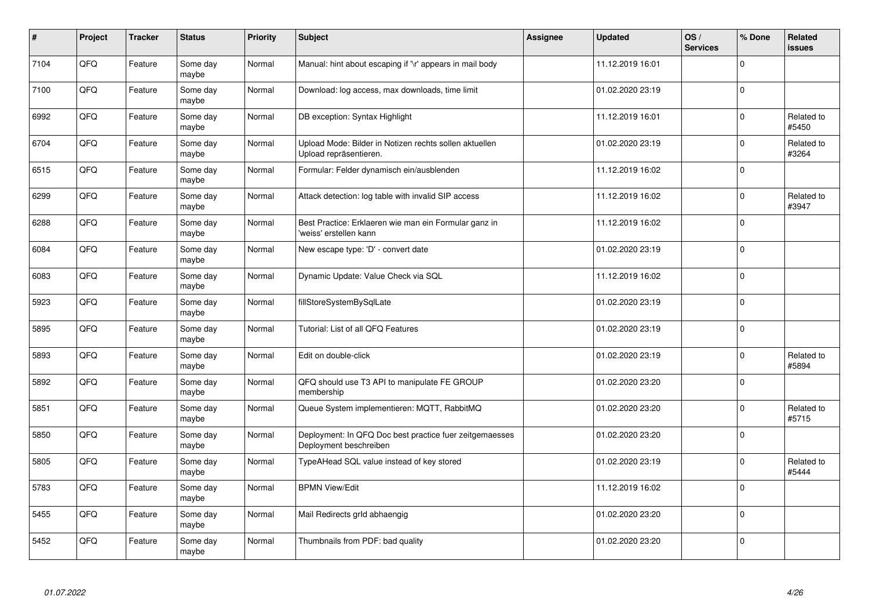| $\vert$ # | Project | <b>Tracker</b> | <b>Status</b>     | <b>Priority</b> | Subject                                                                           | <b>Assignee</b> | <b>Updated</b>   | OS/<br><b>Services</b> | % Done      | Related<br><b>issues</b> |
|-----------|---------|----------------|-------------------|-----------------|-----------------------------------------------------------------------------------|-----------------|------------------|------------------------|-------------|--------------------------|
| 7104      | QFQ     | Feature        | Some day<br>maybe | Normal          | Manual: hint about escaping if '\r' appears in mail body                          |                 | 11.12.2019 16:01 |                        | $\mathbf 0$ |                          |
| 7100      | QFQ     | Feature        | Some day<br>maybe | Normal          | Download: log access, max downloads, time limit                                   |                 | 01.02.2020 23:19 |                        | $\mathbf 0$ |                          |
| 6992      | QFQ     | Feature        | Some day<br>maybe | Normal          | DB exception: Syntax Highlight                                                    |                 | 11.12.2019 16:01 |                        | $\mathbf 0$ | Related to<br>#5450      |
| 6704      | QFQ     | Feature        | Some day<br>maybe | Normal          | Upload Mode: Bilder in Notizen rechts sollen aktuellen<br>Upload repräsentieren.  |                 | 01.02.2020 23:19 |                        | $\Omega$    | Related to<br>#3264      |
| 6515      | QFQ     | Feature        | Some day<br>maybe | Normal          | Formular: Felder dynamisch ein/ausblenden                                         |                 | 11.12.2019 16:02 |                        | $\mathbf 0$ |                          |
| 6299      | QFQ     | Feature        | Some day<br>maybe | Normal          | Attack detection: log table with invalid SIP access                               |                 | 11.12.2019 16:02 |                        | $\pmb{0}$   | Related to<br>#3947      |
| 6288      | QFQ     | Feature        | Some day<br>maybe | Normal          | Best Practice: Erklaeren wie man ein Formular ganz in<br>'weiss' erstellen kann   |                 | 11.12.2019 16:02 |                        | $\mathbf 0$ |                          |
| 6084      | QFQ     | Feature        | Some day<br>maybe | Normal          | New escape type: 'D' - convert date                                               |                 | 01.02.2020 23:19 |                        | $\mathbf 0$ |                          |
| 6083      | QFQ     | Feature        | Some day<br>maybe | Normal          | Dynamic Update: Value Check via SQL                                               |                 | 11.12.2019 16:02 |                        | $\mathbf 0$ |                          |
| 5923      | QFQ     | Feature        | Some day<br>maybe | Normal          | fillStoreSystemBySqlLate                                                          |                 | 01.02.2020 23:19 |                        | $\mathbf 0$ |                          |
| 5895      | QFQ     | Feature        | Some day<br>maybe | Normal          | Tutorial: List of all QFQ Features                                                |                 | 01.02.2020 23:19 |                        | $\mathbf 0$ |                          |
| 5893      | QFQ     | Feature        | Some day<br>maybe | Normal          | Edit on double-click                                                              |                 | 01.02.2020 23:19 |                        | $\mathbf 0$ | Related to<br>#5894      |
| 5892      | QFQ     | Feature        | Some day<br>maybe | Normal          | QFQ should use T3 API to manipulate FE GROUP<br>membership                        |                 | 01.02.2020 23:20 |                        | $\mathbf 0$ |                          |
| 5851      | QFQ     | Feature        | Some day<br>maybe | Normal          | Queue System implementieren: MQTT, RabbitMQ                                       |                 | 01.02.2020 23:20 |                        | $\mathbf 0$ | Related to<br>#5715      |
| 5850      | QFQ     | Feature        | Some day<br>maybe | Normal          | Deployment: In QFQ Doc best practice fuer zeitgemaesses<br>Deployment beschreiben |                 | 01.02.2020 23:20 |                        | $\Omega$    |                          |
| 5805      | QFQ     | Feature        | Some day<br>maybe | Normal          | TypeAHead SQL value instead of key stored                                         |                 | 01.02.2020 23:19 |                        | $\mathbf 0$ | Related to<br>#5444      |
| 5783      | QFQ     | Feature        | Some day<br>maybe | Normal          | <b>BPMN View/Edit</b>                                                             |                 | 11.12.2019 16:02 |                        | $\Omega$    |                          |
| 5455      | QFQ     | Feature        | Some day<br>maybe | Normal          | Mail Redirects grld abhaengig                                                     |                 | 01.02.2020 23:20 |                        | $\pmb{0}$   |                          |
| 5452      | QFQ     | Feature        | Some day<br>maybe | Normal          | Thumbnails from PDF: bad quality                                                  |                 | 01.02.2020 23:20 |                        | $\Omega$    |                          |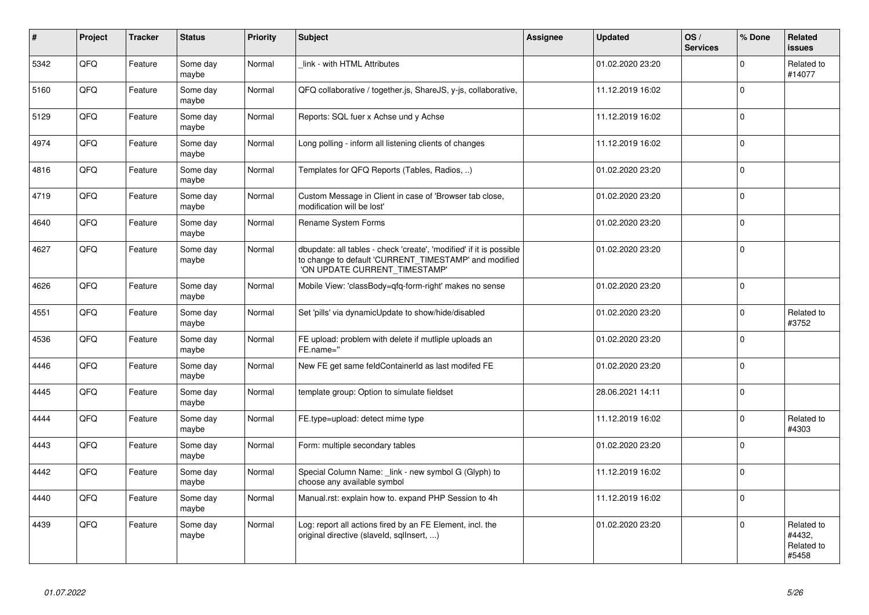| $\vert$ # | Project | <b>Tracker</b> | <b>Status</b>     | <b>Priority</b> | <b>Subject</b>                                                                                                                                                | Assignee | <b>Updated</b>   | OS/<br><b>Services</b> | % Done       | Related<br><b>issues</b>                    |
|-----------|---------|----------------|-------------------|-----------------|---------------------------------------------------------------------------------------------------------------------------------------------------------------|----------|------------------|------------------------|--------------|---------------------------------------------|
| 5342      | QFQ     | Feature        | Some day<br>maybe | Normal          | link - with HTML Attributes                                                                                                                                   |          | 01.02.2020 23:20 |                        | $\mathbf 0$  | Related to<br>#14077                        |
| 5160      | QFQ     | Feature        | Some day<br>maybe | Normal          | QFQ collaborative / together.js, ShareJS, y-js, collaborative,                                                                                                |          | 11.12.2019 16:02 |                        | $\mathsf 0$  |                                             |
| 5129      | QFQ     | Feature        | Some day<br>maybe | Normal          | Reports: SQL fuer x Achse und y Achse                                                                                                                         |          | 11.12.2019 16:02 |                        | $\mathsf 0$  |                                             |
| 4974      | QFQ     | Feature        | Some day<br>maybe | Normal          | Long polling - inform all listening clients of changes                                                                                                        |          | 11.12.2019 16:02 |                        | $\mathbf 0$  |                                             |
| 4816      | QFQ     | Feature        | Some day<br>maybe | Normal          | Templates for QFQ Reports (Tables, Radios, )                                                                                                                  |          | 01.02.2020 23:20 |                        | $\mathbf 0$  |                                             |
| 4719      | QFQ     | Feature        | Some day<br>maybe | Normal          | Custom Message in Client in case of 'Browser tab close,<br>modification will be lost'                                                                         |          | 01.02.2020 23:20 |                        | $\mathbf 0$  |                                             |
| 4640      | QFQ     | Feature        | Some day<br>maybe | Normal          | Rename System Forms                                                                                                                                           |          | 01.02.2020 23:20 |                        | $\Omega$     |                                             |
| 4627      | QFQ     | Feature        | Some day<br>maybe | Normal          | dbupdate: all tables - check 'create', 'modified' if it is possible<br>to change to default 'CURRENT_TIMESTAMP' and modified<br>'ON UPDATE CURRENT_TIMESTAMP' |          | 01.02.2020 23:20 |                        | $\Omega$     |                                             |
| 4626      | QFQ     | Feature        | Some day<br>maybe | Normal          | Mobile View: 'classBody=qfq-form-right' makes no sense                                                                                                        |          | 01.02.2020 23:20 |                        | $\mathbf 0$  |                                             |
| 4551      | QFQ     | Feature        | Some day<br>maybe | Normal          | Set 'pills' via dynamicUpdate to show/hide/disabled                                                                                                           |          | 01.02.2020 23:20 |                        | $\mathbf 0$  | Related to<br>#3752                         |
| 4536      | QFQ     | Feature        | Some day<br>maybe | Normal          | FE upload: problem with delete if mutliple uploads an<br>FE.name="                                                                                            |          | 01.02.2020 23:20 |                        | $\mathbf 0$  |                                             |
| 4446      | QFQ     | Feature        | Some day<br>maybe | Normal          | New FE get same feldContainerId as last modifed FE                                                                                                            |          | 01.02.2020 23:20 |                        | $\mathbf{0}$ |                                             |
| 4445      | QFQ     | Feature        | Some day<br>maybe | Normal          | template group: Option to simulate fieldset                                                                                                                   |          | 28.06.2021 14:11 |                        | $\mathbf 0$  |                                             |
| 4444      | QFQ     | Feature        | Some day<br>maybe | Normal          | FE.type=upload: detect mime type                                                                                                                              |          | 11.12.2019 16:02 |                        | $\mathsf 0$  | Related to<br>#4303                         |
| 4443      | QFQ     | Feature        | Some day<br>maybe | Normal          | Form: multiple secondary tables                                                                                                                               |          | 01.02.2020 23:20 |                        | $\mathbf 0$  |                                             |
| 4442      | QFQ     | Feature        | Some day<br>maybe | Normal          | Special Column Name: link - new symbol G (Glyph) to<br>choose any available symbol                                                                            |          | 11.12.2019 16:02 |                        | $\mathsf 0$  |                                             |
| 4440      | QFQ     | Feature        | Some day<br>maybe | Normal          | Manual.rst: explain how to. expand PHP Session to 4h                                                                                                          |          | 11.12.2019 16:02 |                        | $\mathsf 0$  |                                             |
| 4439      | QFQ     | Feature        | Some day<br>maybe | Normal          | Log: report all actions fired by an FE Element, incl. the<br>original directive (slaveld, sqlInsert, )                                                        |          | 01.02.2020 23:20 |                        | $\mathbf 0$  | Related to<br>#4432,<br>Related to<br>#5458 |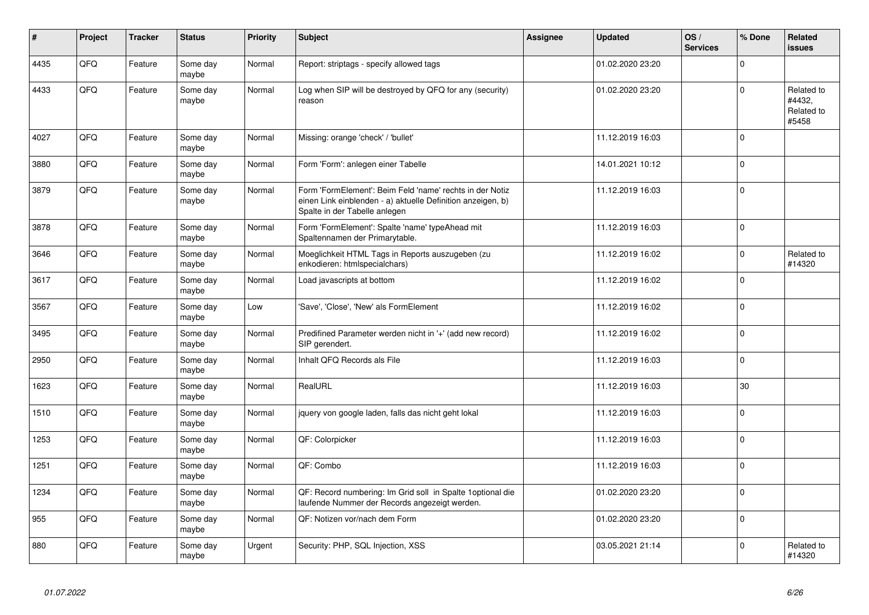| ∦    | Project | <b>Tracker</b> | <b>Status</b>     | Priority | <b>Subject</b>                                                                                                                                           | Assignee | <b>Updated</b>   | OS/<br><b>Services</b> | % Done      | Related<br><b>issues</b>                    |
|------|---------|----------------|-------------------|----------|----------------------------------------------------------------------------------------------------------------------------------------------------------|----------|------------------|------------------------|-------------|---------------------------------------------|
| 4435 | QFQ     | Feature        | Some day<br>maybe | Normal   | Report: striptags - specify allowed tags                                                                                                                 |          | 01.02.2020 23:20 |                        | $\Omega$    |                                             |
| 4433 | QFQ     | Feature        | Some day<br>maybe | Normal   | Log when SIP will be destroyed by QFQ for any (security)<br>reason                                                                                       |          | 01.02.2020 23:20 |                        | $\Omega$    | Related to<br>#4432,<br>Related to<br>#5458 |
| 4027 | QFQ     | Feature        | Some day<br>maybe | Normal   | Missing: orange 'check' / 'bullet'                                                                                                                       |          | 11.12.2019 16:03 |                        | $\Omega$    |                                             |
| 3880 | QFQ     | Feature        | Some day<br>maybe | Normal   | Form 'Form': anlegen einer Tabelle                                                                                                                       |          | 14.01.2021 10:12 |                        | $\Omega$    |                                             |
| 3879 | QFQ     | Feature        | Some day<br>maybe | Normal   | Form 'FormElement': Beim Feld 'name' rechts in der Notiz<br>einen Link einblenden - a) aktuelle Definition anzeigen, b)<br>Spalte in der Tabelle anlegen |          | 11.12.2019 16:03 |                        | $\mathbf 0$ |                                             |
| 3878 | QFQ     | Feature        | Some day<br>maybe | Normal   | Form 'FormElement': Spalte 'name' typeAhead mit<br>Spaltennamen der Primarytable.                                                                        |          | 11.12.2019 16:03 |                        | $\Omega$    |                                             |
| 3646 | QFQ     | Feature        | Some day<br>maybe | Normal   | Moeglichkeit HTML Tags in Reports auszugeben (zu<br>enkodieren: htmlspecialchars)                                                                        |          | 11.12.2019 16:02 |                        | $\Omega$    | Related to<br>#14320                        |
| 3617 | QFQ     | Feature        | Some day<br>maybe | Normal   | Load javascripts at bottom                                                                                                                               |          | 11.12.2019 16:02 |                        | $\Omega$    |                                             |
| 3567 | QFQ     | Feature        | Some day<br>maybe | Low      | 'Save', 'Close', 'New' als FormElement                                                                                                                   |          | 11.12.2019 16:02 |                        | $\Omega$    |                                             |
| 3495 | QFQ     | Feature        | Some day<br>maybe | Normal   | Predifined Parameter werden nicht in '+' (add new record)<br>SIP gerendert.                                                                              |          | 11.12.2019 16:02 |                        | $\Omega$    |                                             |
| 2950 | QFQ     | Feature        | Some day<br>maybe | Normal   | Inhalt QFQ Records als File                                                                                                                              |          | 11.12.2019 16:03 |                        | $\Omega$    |                                             |
| 1623 | QFQ     | Feature        | Some day<br>maybe | Normal   | RealURL                                                                                                                                                  |          | 11.12.2019 16:03 |                        | 30          |                                             |
| 1510 | QFQ     | Feature        | Some day<br>maybe | Normal   | jquery von google laden, falls das nicht geht lokal                                                                                                      |          | 11.12.2019 16:03 |                        | $\mathbf 0$ |                                             |
| 1253 | QFQ     | Feature        | Some day<br>maybe | Normal   | QF: Colorpicker                                                                                                                                          |          | 11.12.2019 16:03 |                        | $\Omega$    |                                             |
| 1251 | QFQ     | Feature        | Some day<br>maybe | Normal   | QF: Combo                                                                                                                                                |          | 11.12.2019 16:03 |                        | $\Omega$    |                                             |
| 1234 | QFQ     | Feature        | Some day<br>maybe | Normal   | QF: Record numbering: Im Grid soll in Spalte 1optional die<br>laufende Nummer der Records angezeigt werden.                                              |          | 01.02.2020 23:20 |                        | $\Omega$    |                                             |
| 955  | QFQ     | Feature        | Some day<br>maybe | Normal   | QF: Notizen vor/nach dem Form                                                                                                                            |          | 01.02.2020 23:20 |                        | $\Omega$    |                                             |
| 880  | QFQ     | Feature        | Some day<br>maybe | Urgent   | Security: PHP, SQL Injection, XSS                                                                                                                        |          | 03.05.2021 21:14 |                        | $\Omega$    | Related to<br>#14320                        |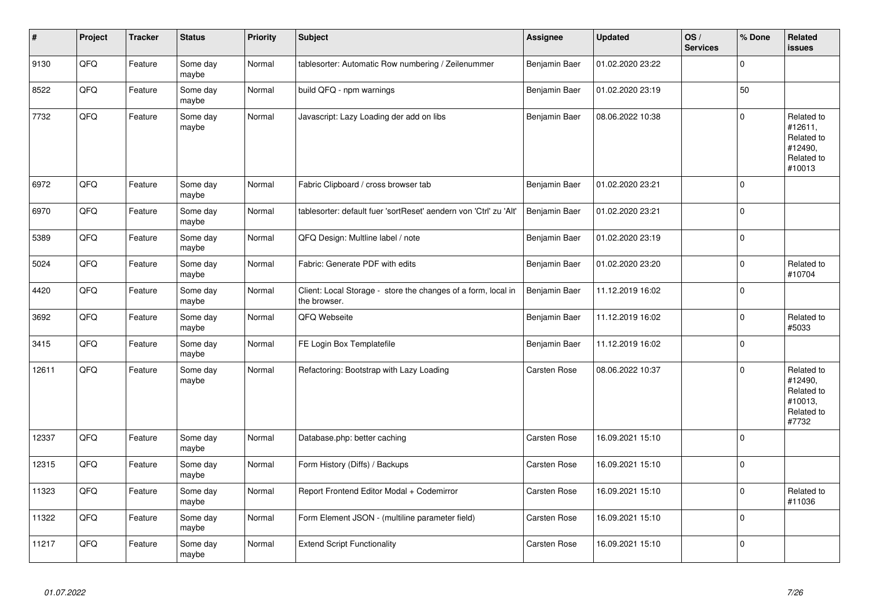| $\sharp$ | Project | <b>Tracker</b> | <b>Status</b>     | <b>Priority</b> | <b>Subject</b>                                                                | Assignee            | <b>Updated</b>   | OS/<br><b>Services</b> | % Done      | Related<br><b>issues</b>                                               |
|----------|---------|----------------|-------------------|-----------------|-------------------------------------------------------------------------------|---------------------|------------------|------------------------|-------------|------------------------------------------------------------------------|
| 9130     | QFQ     | Feature        | Some day<br>maybe | Normal          | tablesorter: Automatic Row numbering / Zeilenummer                            | Benjamin Baer       | 01.02.2020 23:22 |                        | $\Omega$    |                                                                        |
| 8522     | QFQ     | Feature        | Some day<br>maybe | Normal          | build QFQ - npm warnings                                                      | Benjamin Baer       | 01.02.2020 23:19 |                        | 50          |                                                                        |
| 7732     | QFQ     | Feature        | Some day<br>maybe | Normal          | Javascript: Lazy Loading der add on libs                                      | Benjamin Baer       | 08.06.2022 10:38 |                        | $\mathbf 0$ | Related to<br>#12611,<br>Related to<br>#12490,<br>Related to<br>#10013 |
| 6972     | QFQ     | Feature        | Some day<br>maybe | Normal          | Fabric Clipboard / cross browser tab                                          | Benjamin Baer       | 01.02.2020 23:21 |                        | $\mathbf 0$ |                                                                        |
| 6970     | QFQ     | Feature        | Some day<br>maybe | Normal          | tablesorter: default fuer 'sortReset' aendern von 'Ctrl' zu 'Alt'             | Benjamin Baer       | 01.02.2020 23:21 |                        | $\mathbf 0$ |                                                                        |
| 5389     | QFQ     | Feature        | Some day<br>maybe | Normal          | QFQ Design: Multline label / note                                             | Benjamin Baer       | 01.02.2020 23:19 |                        | $\mathbf 0$ |                                                                        |
| 5024     | QFQ     | Feature        | Some day<br>maybe | Normal          | Fabric: Generate PDF with edits                                               | Benjamin Baer       | 01.02.2020 23:20 |                        | $\mathbf 0$ | Related to<br>#10704                                                   |
| 4420     | QFQ     | Feature        | Some day<br>maybe | Normal          | Client: Local Storage - store the changes of a form, local in<br>the browser. | Benjamin Baer       | 11.12.2019 16:02 |                        | $\mathbf 0$ |                                                                        |
| 3692     | QFQ     | Feature        | Some day<br>maybe | Normal          | QFQ Webseite                                                                  | Benjamin Baer       | 11.12.2019 16:02 |                        | $\mathbf 0$ | Related to<br>#5033                                                    |
| 3415     | QFQ     | Feature        | Some day<br>maybe | Normal          | FE Login Box Templatefile                                                     | Benjamin Baer       | 11.12.2019 16:02 |                        | $\mathbf 0$ |                                                                        |
| 12611    | QFQ     | Feature        | Some day<br>maybe | Normal          | Refactoring: Bootstrap with Lazy Loading                                      | Carsten Rose        | 08.06.2022 10:37 |                        | $\Omega$    | Related to<br>#12490,<br>Related to<br>#10013,<br>Related to<br>#7732  |
| 12337    | QFQ     | Feature        | Some day<br>maybe | Normal          | Database.php: better caching                                                  | <b>Carsten Rose</b> | 16.09.2021 15:10 |                        | $\mathbf 0$ |                                                                        |
| 12315    | QFQ     | Feature        | Some day<br>maybe | Normal          | Form History (Diffs) / Backups                                                | Carsten Rose        | 16.09.2021 15:10 |                        | $\Omega$    |                                                                        |
| 11323    | QFQ     | Feature        | Some day<br>maybe | Normal          | Report Frontend Editor Modal + Codemirror                                     | <b>Carsten Rose</b> | 16.09.2021 15:10 |                        | $\mathbf 0$ | Related to<br>#11036                                                   |
| 11322    | QFQ     | Feature        | Some day<br>maybe | Normal          | Form Element JSON - (multiline parameter field)                               | Carsten Rose        | 16.09.2021 15:10 |                        | $\mathbf 0$ |                                                                        |
| 11217    | QFQ     | Feature        | Some day<br>maybe | Normal          | <b>Extend Script Functionality</b>                                            | <b>Carsten Rose</b> | 16.09.2021 15:10 |                        | $\mathbf 0$ |                                                                        |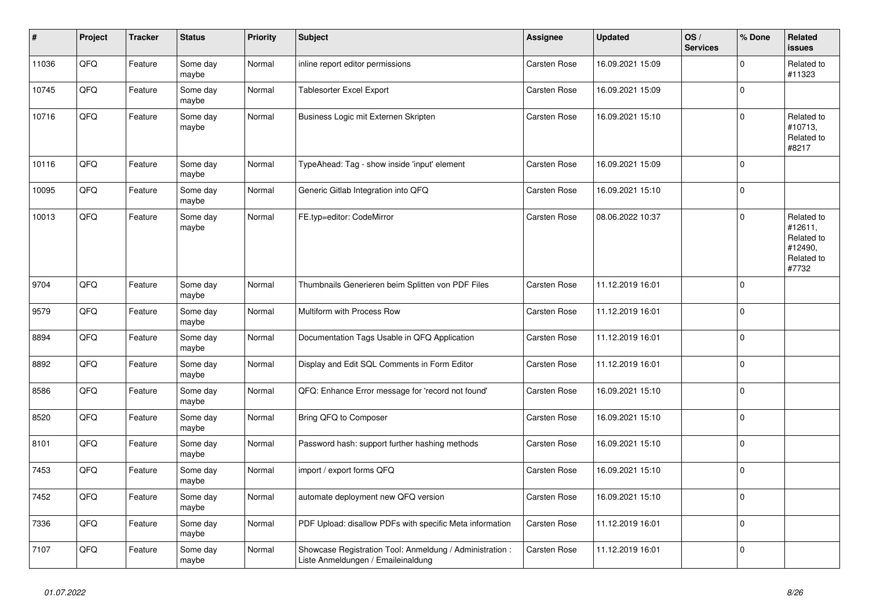| $\pmb{\#}$ | Project | <b>Tracker</b> | <b>Status</b>     | <b>Priority</b> | <b>Subject</b>                                                                                 | Assignee            | <b>Updated</b>   | OS/<br><b>Services</b> | % Done      | Related<br><b>issues</b>                                              |
|------------|---------|----------------|-------------------|-----------------|------------------------------------------------------------------------------------------------|---------------------|------------------|------------------------|-------------|-----------------------------------------------------------------------|
| 11036      | QFQ     | Feature        | Some day<br>maybe | Normal          | inline report editor permissions                                                               | <b>Carsten Rose</b> | 16.09.2021 15:09 |                        | $\mathbf 0$ | Related to<br>#11323                                                  |
| 10745      | QFQ     | Feature        | Some day<br>maybe | Normal          | Tablesorter Excel Export                                                                       | <b>Carsten Rose</b> | 16.09.2021 15:09 |                        | $\mathbf 0$ |                                                                       |
| 10716      | QFQ     | Feature        | Some day<br>maybe | Normal          | Business Logic mit Externen Skripten                                                           | Carsten Rose        | 16.09.2021 15:10 |                        | $\Omega$    | Related to<br>#10713,<br>Related to<br>#8217                          |
| 10116      | QFQ     | Feature        | Some day<br>maybe | Normal          | TypeAhead: Tag - show inside 'input' element                                                   | <b>Carsten Rose</b> | 16.09.2021 15:09 |                        | $\mathbf 0$ |                                                                       |
| 10095      | QFQ     | Feature        | Some day<br>maybe | Normal          | Generic Gitlab Integration into QFQ                                                            | <b>Carsten Rose</b> | 16.09.2021 15:10 |                        | $\pmb{0}$   |                                                                       |
| 10013      | QFQ     | Feature        | Some day<br>maybe | Normal          | FE.typ=editor: CodeMirror                                                                      | Carsten Rose        | 08.06.2022 10:37 |                        | $\Omega$    | Related to<br>#12611,<br>Related to<br>#12490,<br>Related to<br>#7732 |
| 9704       | QFQ     | Feature        | Some day<br>maybe | Normal          | Thumbnails Generieren beim Splitten von PDF Files                                              | <b>Carsten Rose</b> | 11.12.2019 16:01 |                        | $\mathbf 0$ |                                                                       |
| 9579       | QFQ     | Feature        | Some day<br>maybe | Normal          | Multiform with Process Row                                                                     | <b>Carsten Rose</b> | 11.12.2019 16:01 |                        | $\Omega$    |                                                                       |
| 8894       | QFQ     | Feature        | Some day<br>maybe | Normal          | Documentation Tags Usable in QFQ Application                                                   | <b>Carsten Rose</b> | 11.12.2019 16:01 |                        | $\mathbf 0$ |                                                                       |
| 8892       | QFQ     | Feature        | Some day<br>maybe | Normal          | Display and Edit SQL Comments in Form Editor                                                   | Carsten Rose        | 11.12.2019 16:01 |                        | $\mathbf 0$ |                                                                       |
| 8586       | QFQ     | Feature        | Some day<br>maybe | Normal          | QFQ: Enhance Error message for 'record not found'                                              | Carsten Rose        | 16.09.2021 15:10 |                        | $\mathbf 0$ |                                                                       |
| 8520       | QFQ     | Feature        | Some day<br>maybe | Normal          | Bring QFQ to Composer                                                                          | Carsten Rose        | 16.09.2021 15:10 |                        | $\mathbf 0$ |                                                                       |
| 8101       | QFQ     | Feature        | Some day<br>maybe | Normal          | Password hash: support further hashing methods                                                 | <b>Carsten Rose</b> | 16.09.2021 15:10 |                        | $\mathbf 0$ |                                                                       |
| 7453       | QFQ     | Feature        | Some day<br>maybe | Normal          | import / export forms QFQ                                                                      | Carsten Rose        | 16.09.2021 15:10 |                        | $\Omega$    |                                                                       |
| 7452       | QFQ     | Feature        | Some day<br>maybe | Normal          | automate deployment new QFQ version                                                            | Carsten Rose        | 16.09.2021 15:10 |                        | $\mathbf 0$ |                                                                       |
| 7336       | QFQ     | Feature        | Some day<br>maybe | Normal          | PDF Upload: disallow PDFs with specific Meta information                                       | Carsten Rose        | 11.12.2019 16:01 |                        | $\pmb{0}$   |                                                                       |
| 7107       | QFQ     | Feature        | Some day<br>maybe | Normal          | Showcase Registration Tool: Anmeldung / Administration :<br>Liste Anmeldungen / Emaileinaldung | <b>Carsten Rose</b> | 11.12.2019 16:01 |                        | $\mathbf 0$ |                                                                       |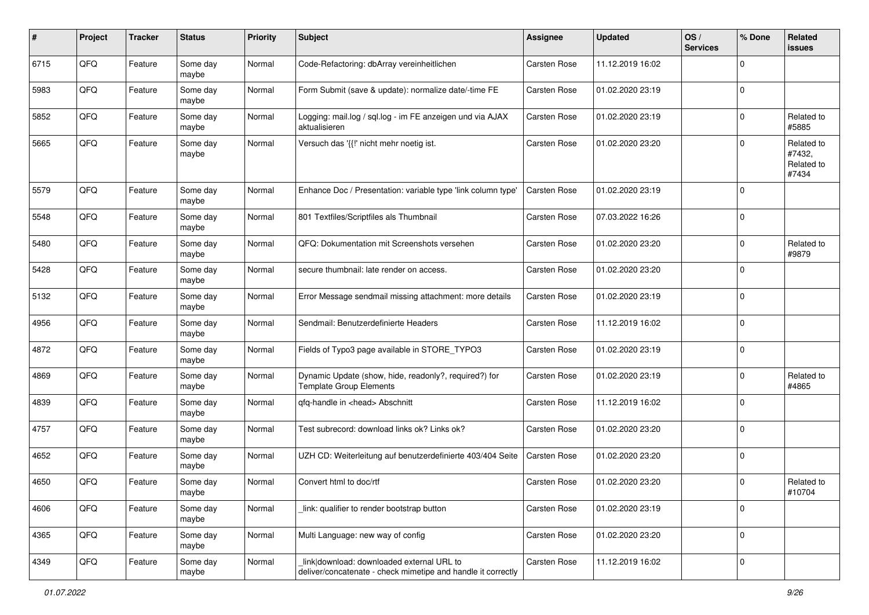| #    | Project | <b>Tracker</b> | <b>Status</b>     | <b>Priority</b> | Subject                                                                                                   | <b>Assignee</b>     | <b>Updated</b>   | OS/<br><b>Services</b> | % Done      | Related<br>issues                           |
|------|---------|----------------|-------------------|-----------------|-----------------------------------------------------------------------------------------------------------|---------------------|------------------|------------------------|-------------|---------------------------------------------|
| 6715 | QFQ     | Feature        | Some day<br>maybe | Normal          | Code-Refactoring: dbArray vereinheitlichen                                                                | Carsten Rose        | 11.12.2019 16:02 |                        | $\mathbf 0$ |                                             |
| 5983 | QFQ     | Feature        | Some day<br>maybe | Normal          | Form Submit (save & update): normalize date/-time FE                                                      | Carsten Rose        | 01.02.2020 23:19 |                        | $\mathbf 0$ |                                             |
| 5852 | QFQ     | Feature        | Some day<br>maybe | Normal          | Logging: mail.log / sql.log - im FE anzeigen und via AJAX<br>aktualisieren                                | Carsten Rose        | 01.02.2020 23:19 |                        | $\Omega$    | Related to<br>#5885                         |
| 5665 | QFQ     | Feature        | Some day<br>maybe | Normal          | Versuch das '{{!' nicht mehr noetig ist.                                                                  | Carsten Rose        | 01.02.2020 23:20 |                        | 0           | Related to<br>#7432,<br>Related to<br>#7434 |
| 5579 | QFQ     | Feature        | Some day<br>maybe | Normal          | Enhance Doc / Presentation: variable type 'link column type'                                              | Carsten Rose        | 01.02.2020 23:19 |                        | $\Omega$    |                                             |
| 5548 | QFQ     | Feature        | Some day<br>maybe | Normal          | 801 Textfiles/Scriptfiles als Thumbnail                                                                   | Carsten Rose        | 07.03.2022 16:26 |                        | $\mathbf 0$ |                                             |
| 5480 | QFQ     | Feature        | Some day<br>maybe | Normal          | QFQ: Dokumentation mit Screenshots versehen                                                               | Carsten Rose        | 01.02.2020 23:20 |                        | $\mathbf 0$ | Related to<br>#9879                         |
| 5428 | QFQ     | Feature        | Some day<br>maybe | Normal          | secure thumbnail: late render on access.                                                                  | Carsten Rose        | 01.02.2020 23:20 |                        | $\mathbf 0$ |                                             |
| 5132 | QFQ     | Feature        | Some day<br>maybe | Normal          | Error Message sendmail missing attachment: more details                                                   | Carsten Rose        | 01.02.2020 23:19 |                        | $\mathbf 0$ |                                             |
| 4956 | QFQ     | Feature        | Some day<br>maybe | Normal          | Sendmail: Benutzerdefinierte Headers                                                                      | Carsten Rose        | 11.12.2019 16:02 |                        | $\mathbf 0$ |                                             |
| 4872 | QFQ     | Feature        | Some day<br>maybe | Normal          | Fields of Typo3 page available in STORE_TYPO3                                                             | Carsten Rose        | 01.02.2020 23:19 |                        | $\mathbf 0$ |                                             |
| 4869 | QFQ     | Feature        | Some day<br>maybe | Normal          | Dynamic Update (show, hide, readonly?, required?) for<br>Template Group Elements                          | Carsten Rose        | 01.02.2020 23:19 |                        | $\Omega$    | Related to<br>#4865                         |
| 4839 | QFQ     | Feature        | Some day<br>maybe | Normal          | qfq-handle in <head> Abschnitt</head>                                                                     | Carsten Rose        | 11.12.2019 16:02 |                        | $\mathbf 0$ |                                             |
| 4757 | QFQ     | Feature        | Some day<br>maybe | Normal          | Test subrecord: download links ok? Links ok?                                                              | Carsten Rose        | 01.02.2020 23:20 |                        | $\Omega$    |                                             |
| 4652 | QFQ     | Feature        | Some day<br>maybe | Normal          | UZH CD: Weiterleitung auf benutzerdefinierte 403/404 Seite                                                | Carsten Rose        | 01.02.2020 23:20 |                        | $\mathbf 0$ |                                             |
| 4650 | QFQ     | Feature        | Some day<br>maybe | Normal          | Convert html to doc/rtf                                                                                   | <b>Carsten Rose</b> | 01.02.2020 23:20 |                        | $\Omega$    | Related to<br>#10704                        |
| 4606 | QFQ     | Feature        | Some day<br>maybe | Normal          | link: qualifier to render bootstrap button                                                                | Carsten Rose        | 01.02.2020 23:19 |                        | $\mathbf 0$ |                                             |
| 4365 | QFO     | Feature        | Some day<br>maybe | Normal          | Multi Language: new way of config                                                                         | Carsten Rose        | 01.02.2020 23:20 |                        | $\mathbf 0$ |                                             |
| 4349 | QFQ     | Feature        | Some day<br>maybe | Normal          | link download: downloaded external URL to<br>deliver/concatenate - check mimetipe and handle it correctly | Carsten Rose        | 11.12.2019 16:02 |                        | $\mathbf 0$ |                                             |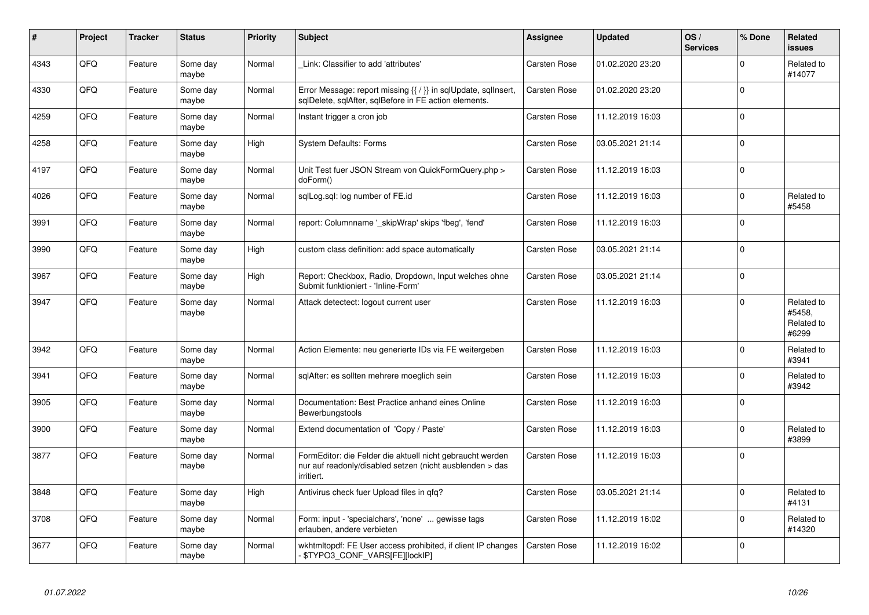| #    | Project | <b>Tracker</b> | <b>Status</b>     | <b>Priority</b> | <b>Subject</b>                                                                                                                      | Assignee            | <b>Updated</b>   | OS/<br><b>Services</b> | % Done      | Related<br><b>issues</b>                    |
|------|---------|----------------|-------------------|-----------------|-------------------------------------------------------------------------------------------------------------------------------------|---------------------|------------------|------------------------|-------------|---------------------------------------------|
| 4343 | QFQ     | Feature        | Some day<br>maybe | Normal          | Link: Classifier to add 'attributes'                                                                                                | Carsten Rose        | 01.02.2020 23:20 |                        | $\Omega$    | Related to<br>#14077                        |
| 4330 | QFQ     | Feature        | Some day<br>maybe | Normal          | Error Message: report missing {{ / }} in sqlUpdate, sqlInsert,<br>sqlDelete, sqlAfter, sqlBefore in FE action elements.             | Carsten Rose        | 01.02.2020 23:20 |                        | $\mathbf 0$ |                                             |
| 4259 | QFQ     | Feature        | Some day<br>maybe | Normal          | Instant trigger a cron job                                                                                                          | <b>Carsten Rose</b> | 11.12.2019 16:03 |                        | $\mathbf 0$ |                                             |
| 4258 | QFQ     | Feature        | Some day<br>maybe | High            | <b>System Defaults: Forms</b>                                                                                                       | <b>Carsten Rose</b> | 03.05.2021 21:14 |                        | $\Omega$    |                                             |
| 4197 | QFQ     | Feature        | Some day<br>maybe | Normal          | Unit Test fuer JSON Stream von QuickFormQuery.php ><br>doForm()                                                                     | Carsten Rose        | 11.12.2019 16:03 |                        | $\mathbf 0$ |                                             |
| 4026 | QFQ     | Feature        | Some day<br>maybe | Normal          | sglLog.sgl: log number of FE.id                                                                                                     | <b>Carsten Rose</b> | 11.12.2019 16:03 |                        | $\mathbf 0$ | Related to<br>#5458                         |
| 3991 | QFQ     | Feature        | Some day<br>maybe | Normal          | report: Columnname ' skipWrap' skips 'fbeg', 'fend'                                                                                 | Carsten Rose        | 11.12.2019 16:03 |                        | $\Omega$    |                                             |
| 3990 | QFQ     | Feature        | Some day<br>maybe | High            | custom class definition: add space automatically                                                                                    | Carsten Rose        | 03.05.2021 21:14 |                        | $\Omega$    |                                             |
| 3967 | QFQ     | Feature        | Some day<br>maybe | High            | Report: Checkbox, Radio, Dropdown, Input welches ohne<br>Submit funktioniert - 'Inline-Form'                                        | Carsten Rose        | 03.05.2021 21:14 |                        | $\mathbf 0$ |                                             |
| 3947 | QFQ     | Feature        | Some day<br>maybe | Normal          | Attack detectect: logout current user                                                                                               | Carsten Rose        | 11.12.2019 16:03 |                        | $\mathbf 0$ | Related to<br>#5458.<br>Related to<br>#6299 |
| 3942 | QFQ     | Feature        | Some day<br>maybe | Normal          | Action Elemente: neu generierte IDs via FE weitergeben                                                                              | Carsten Rose        | 11.12.2019 16:03 |                        | $\mathbf 0$ | Related to<br>#3941                         |
| 3941 | QFQ     | Feature        | Some day<br>maybe | Normal          | sqlAfter: es sollten mehrere moeglich sein                                                                                          | <b>Carsten Rose</b> | 11.12.2019 16:03 |                        | $\mathbf 0$ | Related to<br>#3942                         |
| 3905 | QFQ     | Feature        | Some day<br>maybe | Normal          | Documentation: Best Practice anhand eines Online<br>Bewerbungstools                                                                 | Carsten Rose        | 11.12.2019 16:03 |                        | $\Omega$    |                                             |
| 3900 | QFQ     | Feature        | Some day<br>maybe | Normal          | Extend documentation of 'Copy / Paste'                                                                                              | Carsten Rose        | 11.12.2019 16:03 |                        | $\Omega$    | Related to<br>#3899                         |
| 3877 | QFQ     | Feature        | Some day<br>maybe | Normal          | FormEditor: die Felder die aktuell nicht gebraucht werden<br>nur auf readonly/disabled setzen (nicht ausblenden > das<br>irritiert. | Carsten Rose        | 11.12.2019 16:03 |                        | $\mathbf 0$ |                                             |
| 3848 | QFQ     | Feature        | Some day<br>maybe | High            | Antivirus check fuer Upload files in qfq?                                                                                           | Carsten Rose        | 03.05.2021 21:14 |                        | $\Omega$    | Related to<br>#4131                         |
| 3708 | QFQ     | Feature        | Some day<br>maybe | Normal          | Form: input - 'specialchars', 'none'  gewisse tags<br>erlauben, andere verbieten                                                    | Carsten Rose        | 11.12.2019 16:02 |                        | $\mathbf 0$ | Related to<br>#14320                        |
| 3677 | QFQ     | Feature        | Some day<br>maybe | Normal          | wkhtmltopdf: FE User access prohibited, if client IP changes<br>- \$TYPO3_CONF_VARS[FE][lockIP]                                     | Carsten Rose        | 11.12.2019 16:02 |                        | $\Omega$    |                                             |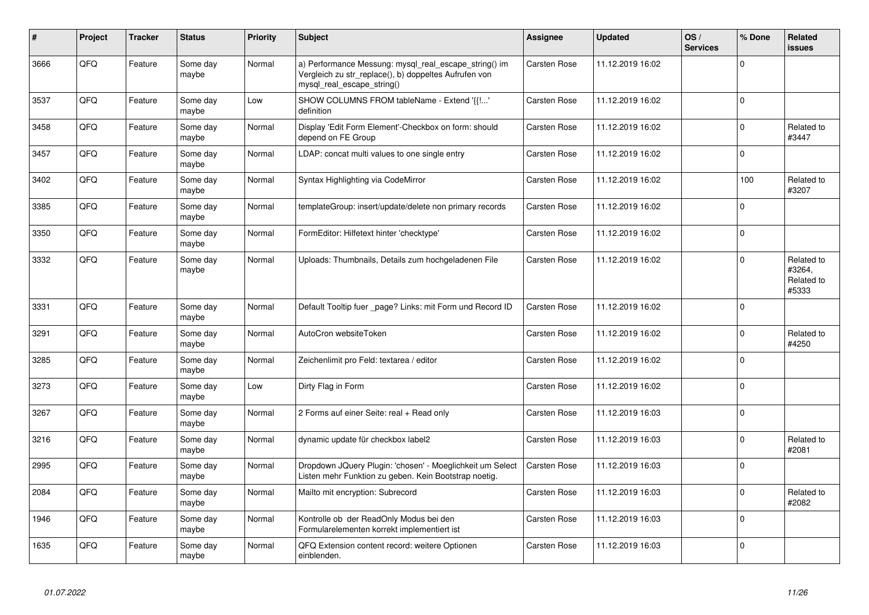| #    | Project | <b>Tracker</b> | <b>Status</b>     | <b>Priority</b> | <b>Subject</b>                                                                                                                               | Assignee            | <b>Updated</b>   | OS/<br><b>Services</b> | % Done      | Related<br><b>issues</b>                    |
|------|---------|----------------|-------------------|-----------------|----------------------------------------------------------------------------------------------------------------------------------------------|---------------------|------------------|------------------------|-------------|---------------------------------------------|
| 3666 | QFQ     | Feature        | Some day<br>maybe | Normal          | a) Performance Messung: mysql_real_escape_string() im<br>Vergleich zu str_replace(), b) doppeltes Aufrufen von<br>mysql_real_escape_string() | <b>Carsten Rose</b> | 11.12.2019 16:02 |                        | $\mathbf 0$ |                                             |
| 3537 | QFQ     | Feature        | Some day<br>maybe | Low             | SHOW COLUMNS FROM tableName - Extend '{{!'<br>definition                                                                                     | <b>Carsten Rose</b> | 11.12.2019 16:02 |                        | $\mathbf 0$ |                                             |
| 3458 | QFQ     | Feature        | Some day<br>maybe | Normal          | Display 'Edit Form Element'-Checkbox on form: should<br>depend on FE Group                                                                   | <b>Carsten Rose</b> | 11.12.2019 16:02 |                        | $\mathbf 0$ | Related to<br>#3447                         |
| 3457 | QFQ     | Feature        | Some day<br>maybe | Normal          | LDAP: concat multi values to one single entry                                                                                                | Carsten Rose        | 11.12.2019 16:02 |                        | $\mathsf 0$ |                                             |
| 3402 | QFQ     | Feature        | Some day<br>maybe | Normal          | Syntax Highlighting via CodeMirror                                                                                                           | Carsten Rose        | 11.12.2019 16:02 |                        | 100         | Related to<br>#3207                         |
| 3385 | QFQ     | Feature        | Some day<br>maybe | Normal          | templateGroup: insert/update/delete non primary records                                                                                      | <b>Carsten Rose</b> | 11.12.2019 16:02 |                        | $\mathbf 0$ |                                             |
| 3350 | QFQ     | Feature        | Some day<br>maybe | Normal          | FormEditor: Hilfetext hinter 'checktype'                                                                                                     | <b>Carsten Rose</b> | 11.12.2019 16:02 |                        | $\mathsf 0$ |                                             |
| 3332 | QFQ     | Feature        | Some day<br>maybe | Normal          | Uploads: Thumbnails, Details zum hochgeladenen File                                                                                          | <b>Carsten Rose</b> | 11.12.2019 16:02 |                        | $\mathbf 0$ | Related to<br>#3264,<br>Related to<br>#5333 |
| 3331 | QFQ     | Feature        | Some day<br>maybe | Normal          | Default Tooltip fuer _page? Links: mit Form und Record ID                                                                                    | Carsten Rose        | 11.12.2019 16:02 |                        | $\mathbf 0$ |                                             |
| 3291 | QFQ     | Feature        | Some day<br>maybe | Normal          | AutoCron websiteToken                                                                                                                        | <b>Carsten Rose</b> | 11.12.2019 16:02 |                        | $\mathsf 0$ | Related to<br>#4250                         |
| 3285 | QFQ     | Feature        | Some day<br>maybe | Normal          | Zeichenlimit pro Feld: textarea / editor                                                                                                     | <b>Carsten Rose</b> | 11.12.2019 16:02 |                        | $\mathbf 0$ |                                             |
| 3273 | QFQ     | Feature        | Some day<br>maybe | Low             | Dirty Flag in Form                                                                                                                           | <b>Carsten Rose</b> | 11.12.2019 16:02 |                        | $\pmb{0}$   |                                             |
| 3267 | QFQ     | Feature        | Some day<br>maybe | Normal          | 2 Forms auf einer Seite: real + Read only                                                                                                    | <b>Carsten Rose</b> | 11.12.2019 16:03 |                        | $\mathsf 0$ |                                             |
| 3216 | QFQ     | Feature        | Some day<br>maybe | Normal          | dynamic update für checkbox label2                                                                                                           | <b>Carsten Rose</b> | 11.12.2019 16:03 |                        | $\mathbf 0$ | Related to<br>#2081                         |
| 2995 | QFQ     | Feature        | Some day<br>maybe | Normal          | Dropdown JQuery Plugin: 'chosen' - Moeglichkeit um Select<br>Listen mehr Funktion zu geben. Kein Bootstrap noetig.                           | <b>Carsten Rose</b> | 11.12.2019 16:03 |                        | $\Omega$    |                                             |
| 2084 | QFQ     | Feature        | Some day<br>maybe | Normal          | Mailto mit encryption: Subrecord                                                                                                             | <b>Carsten Rose</b> | 11.12.2019 16:03 |                        | $\mathsf 0$ | Related to<br>#2082                         |
| 1946 | QFQ     | Feature        | Some day<br>maybe | Normal          | Kontrolle ob der ReadOnly Modus bei den<br>Formularelementen korrekt implementiert ist                                                       | Carsten Rose        | 11.12.2019 16:03 |                        | $\mathsf 0$ |                                             |
| 1635 | QFQ     | Feature        | Some day<br>maybe | Normal          | QFQ Extension content record: weitere Optionen<br>einblenden.                                                                                | Carsten Rose        | 11.12.2019 16:03 |                        | $\mathbf 0$ |                                             |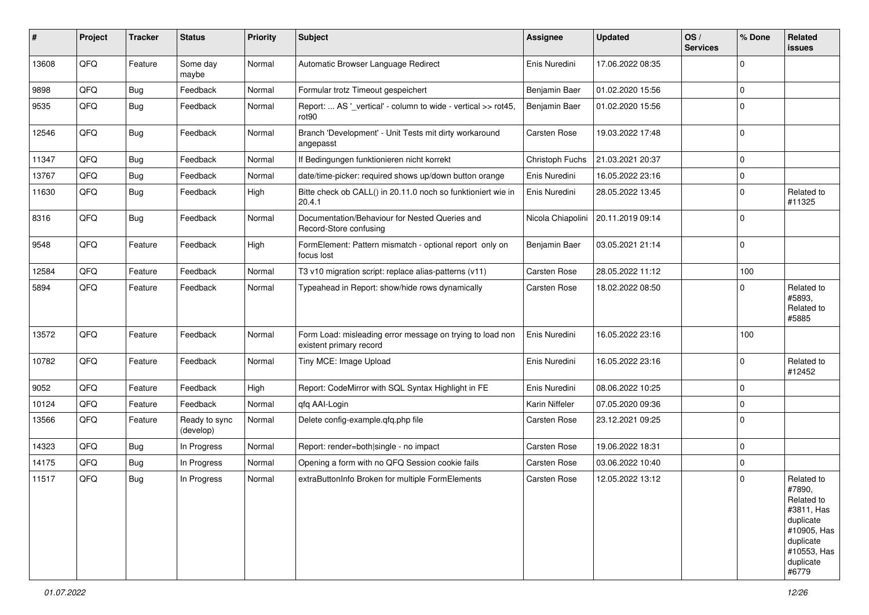| #     | Project | <b>Tracker</b> | <b>Status</b>              | <b>Priority</b> | <b>Subject</b>                                                                       | Assignee          | <b>Updated</b>   | OS/<br><b>Services</b> | % Done      | Related<br>issues                                                                                                              |
|-------|---------|----------------|----------------------------|-----------------|--------------------------------------------------------------------------------------|-------------------|------------------|------------------------|-------------|--------------------------------------------------------------------------------------------------------------------------------|
| 13608 | QFQ     | Feature        | Some day<br>maybe          | Normal          | Automatic Browser Language Redirect                                                  | Enis Nuredini     | 17.06.2022 08:35 |                        | $\Omega$    |                                                                                                                                |
| 9898  | QFQ     | <b>Bug</b>     | Feedback                   | Normal          | Formular trotz Timeout gespeichert                                                   | Benjamin Baer     | 01.02.2020 15:56 |                        | 0           |                                                                                                                                |
| 9535  | QFQ     | <b>Bug</b>     | Feedback                   | Normal          | Report:  AS '_vertical' - column to wide - vertical >> rot45,<br>rot <sub>90</sub>   | Benjamin Baer     | 01.02.2020 15:56 |                        | $\Omega$    |                                                                                                                                |
| 12546 | QFQ     | <b>Bug</b>     | Feedback                   | Normal          | Branch 'Development' - Unit Tests mit dirty workaround<br>angepasst                  | Carsten Rose      | 19.03.2022 17:48 |                        | $\mathbf 0$ |                                                                                                                                |
| 11347 | QFQ     | <b>Bug</b>     | Feedback                   | Normal          | If Bedingungen funktionieren nicht korrekt                                           | Christoph Fuchs   | 21.03.2021 20:37 |                        | $\Omega$    |                                                                                                                                |
| 13767 | QFQ     | <b>Bug</b>     | Feedback                   | Normal          | date/time-picker: required shows up/down button orange                               | Enis Nuredini     | 16.05.2022 23:16 |                        | $\mathbf 0$ |                                                                                                                                |
| 11630 | QFQ     | <b>Bug</b>     | Feedback                   | High            | Bitte check ob CALL() in 20.11.0 noch so funktioniert wie in<br>20.4.1               | Enis Nuredini     | 28.05.2022 13:45 |                        | 0           | Related to<br>#11325                                                                                                           |
| 8316  | QFQ     | <b>Bug</b>     | Feedback                   | Normal          | Documentation/Behaviour for Nested Queries and<br>Record-Store confusing             | Nicola Chiapolini | 20.11.2019 09:14 |                        | $\Omega$    |                                                                                                                                |
| 9548  | QFQ     | Feature        | Feedback                   | High            | FormElement: Pattern mismatch - optional report only on<br>focus lost                | Benjamin Baer     | 03.05.2021 21:14 |                        | $\mathbf 0$ |                                                                                                                                |
| 12584 | QFQ     | Feature        | Feedback                   | Normal          | T3 v10 migration script: replace alias-patterns (v11)                                | Carsten Rose      | 28.05.2022 11:12 |                        | 100         |                                                                                                                                |
| 5894  | QFQ     | Feature        | Feedback                   | Normal          | Typeahead in Report: show/hide rows dynamically                                      | Carsten Rose      | 18.02.2022 08:50 |                        | 0           | Related to<br>#5893.<br>Related to<br>#5885                                                                                    |
| 13572 | QFQ     | Feature        | Feedback                   | Normal          | Form Load: misleading error message on trying to load non<br>existent primary record | Enis Nuredini     | 16.05.2022 23:16 |                        | 100         |                                                                                                                                |
| 10782 | QFQ     | Feature        | Feedback                   | Normal          | Tiny MCE: Image Upload                                                               | Enis Nuredini     | 16.05.2022 23:16 |                        | $\mathbf 0$ | Related to<br>#12452                                                                                                           |
| 9052  | QFQ     | Feature        | Feedback                   | High            | Report: CodeMirror with SQL Syntax Highlight in FE                                   | Enis Nuredini     | 08.06.2022 10:25 |                        | $\mathbf 0$ |                                                                                                                                |
| 10124 | QFQ     | Feature        | Feedback                   | Normal          | qfq AAI-Login                                                                        | Karin Niffeler    | 07.05.2020 09:36 |                        | $\mathbf 0$ |                                                                                                                                |
| 13566 | QFQ     | Feature        | Ready to sync<br>(develop) | Normal          | Delete config-example.gfg.php file                                                   | Carsten Rose      | 23.12.2021 09:25 |                        | $\mathbf 0$ |                                                                                                                                |
| 14323 | QFQ     | <b>Bug</b>     | In Progress                | Normal          | Report: render=both single - no impact                                               | Carsten Rose      | 19.06.2022 18:31 |                        | $\mathbf 0$ |                                                                                                                                |
| 14175 | QFQ     | <b>Bug</b>     | In Progress                | Normal          | Opening a form with no QFQ Session cookie fails                                      | Carsten Rose      | 03.06.2022 10:40 |                        | $\mathbf 0$ |                                                                                                                                |
| 11517 | QFQ     | <b>Bug</b>     | In Progress                | Normal          | extraButtonInfo Broken for multiple FormElements                                     | Carsten Rose      | 12.05.2022 13:12 |                        | 0           | Related to<br>#7890.<br>Related to<br>#3811, Has<br>duplicate<br>#10905, Has<br>duplicate<br>#10553, Has<br>duplicate<br>#6779 |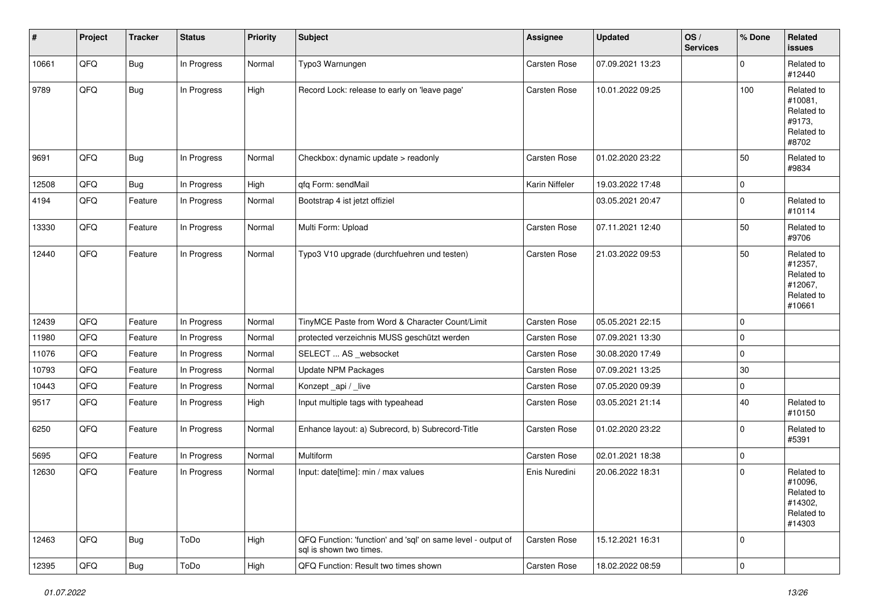| #     | Project | <b>Tracker</b> | <b>Status</b> | <b>Priority</b> | <b>Subject</b>                                                                          | <b>Assignee</b> | <b>Updated</b>   | OS/<br><b>Services</b> | % Done      | Related<br><b>issues</b>                                               |
|-------|---------|----------------|---------------|-----------------|-----------------------------------------------------------------------------------------|-----------------|------------------|------------------------|-------------|------------------------------------------------------------------------|
| 10661 | QFQ     | <b>Bug</b>     | In Progress   | Normal          | Typo3 Warnungen                                                                         | Carsten Rose    | 07.09.2021 13:23 |                        | $\Omega$    | Related to<br>#12440                                                   |
| 9789  | QFQ     | Bug            | In Progress   | High            | Record Lock: release to early on 'leave page'                                           | Carsten Rose    | 10.01.2022 09:25 |                        | 100         | Related to<br>#10081,<br>Related to<br>#9173,<br>Related to<br>#8702   |
| 9691  | QFQ     | Bug            | In Progress   | Normal          | Checkbox: dynamic update > readonly                                                     | Carsten Rose    | 01.02.2020 23:22 |                        | 50          | Related to<br>#9834                                                    |
| 12508 | QFQ     | Bug            | In Progress   | High            | qfq Form: sendMail                                                                      | Karin Niffeler  | 19.03.2022 17:48 |                        | $\Omega$    |                                                                        |
| 4194  | QFQ     | Feature        | In Progress   | Normal          | Bootstrap 4 ist jetzt offiziel                                                          |                 | 03.05.2021 20:47 |                        | $\Omega$    | Related to<br>#10114                                                   |
| 13330 | QFQ     | Feature        | In Progress   | Normal          | Multi Form: Upload                                                                      | Carsten Rose    | 07.11.2021 12:40 |                        | 50          | Related to<br>#9706                                                    |
| 12440 | QFQ     | Feature        | In Progress   | Normal          | Typo3 V10 upgrade (durchfuehren und testen)                                             | Carsten Rose    | 21.03.2022 09:53 |                        | 50          | Related to<br>#12357,<br>Related to<br>#12067,<br>Related to<br>#10661 |
| 12439 | QFQ     | Feature        | In Progress   | Normal          | TinyMCE Paste from Word & Character Count/Limit                                         | Carsten Rose    | 05.05.2021 22:15 |                        | $\Omega$    |                                                                        |
| 11980 | QFQ     | Feature        | In Progress   | Normal          | protected verzeichnis MUSS geschützt werden                                             | Carsten Rose    | 07.09.2021 13:30 |                        | $\Omega$    |                                                                        |
| 11076 | QFQ     | Feature        | In Progress   | Normal          | SELECT  AS _websocket                                                                   | Carsten Rose    | 30.08.2020 17:49 |                        | 0           |                                                                        |
| 10793 | QFQ     | Feature        | In Progress   | Normal          | Update NPM Packages                                                                     | Carsten Rose    | 07.09.2021 13:25 |                        | 30          |                                                                        |
| 10443 | QFQ     | Feature        | In Progress   | Normal          | Konzept_api / _live                                                                     | Carsten Rose    | 07.05.2020 09:39 |                        | $\mathbf 0$ |                                                                        |
| 9517  | QFQ     | Feature        | In Progress   | High            | Input multiple tags with typeahead                                                      | Carsten Rose    | 03.05.2021 21:14 |                        | 40          | Related to<br>#10150                                                   |
| 6250  | QFQ     | Feature        | In Progress   | Normal          | Enhance layout: a) Subrecord, b) Subrecord-Title                                        | Carsten Rose    | 01.02.2020 23:22 |                        | $\Omega$    | Related to<br>#5391                                                    |
| 5695  | QFQ     | Feature        | In Progress   | Normal          | Multiform                                                                               | Carsten Rose    | 02.01.2021 18:38 |                        | 0           |                                                                        |
| 12630 | QFQ     | Feature        | In Progress   | Normal          | Input: date[time]: min / max values                                                     | Enis Nuredini   | 20.06.2022 18:31 |                        | $\Omega$    | Related to<br>#10096,<br>Related to<br>#14302,<br>Related to<br>#14303 |
| 12463 | QFQ     | <b>Bug</b>     | ToDo          | High            | QFQ Function: 'function' and 'sql' on same level - output of<br>sal is shown two times. | Carsten Rose    | 15.12.2021 16:31 |                        | $\mathbf 0$ |                                                                        |
| 12395 | QFQ     | <b>Bug</b>     | ToDo          | High            | QFQ Function: Result two times shown                                                    | Carsten Rose    | 18.02.2022 08:59 |                        | $\mathbf 0$ |                                                                        |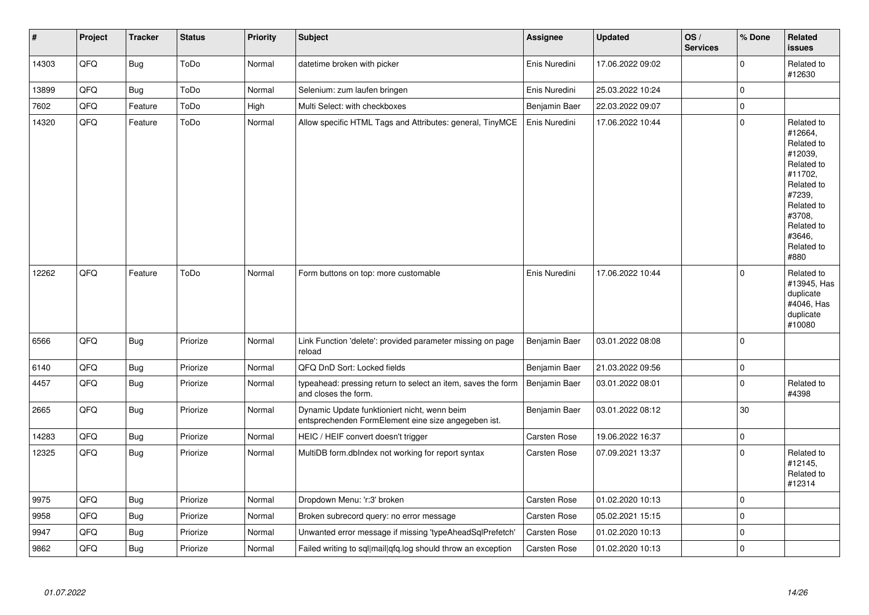| #     | Project | <b>Tracker</b> | <b>Status</b> | <b>Priority</b> | <b>Subject</b>                                                                                      | Assignee            | <b>Updated</b>   | OS/<br><b>Services</b> | % Done      | Related<br><b>issues</b>                                                                                                                                              |
|-------|---------|----------------|---------------|-----------------|-----------------------------------------------------------------------------------------------------|---------------------|------------------|------------------------|-------------|-----------------------------------------------------------------------------------------------------------------------------------------------------------------------|
| 14303 | QFQ     | Bug            | ToDo          | Normal          | datetime broken with picker                                                                         | Enis Nuredini       | 17.06.2022 09:02 |                        | $\mathbf 0$ | Related to<br>#12630                                                                                                                                                  |
| 13899 | QFQ     | <b>Bug</b>     | ToDo          | Normal          | Selenium: zum laufen bringen                                                                        | Enis Nuredini       | 25.03.2022 10:24 |                        | $\mathbf 0$ |                                                                                                                                                                       |
| 7602  | QFQ     | Feature        | ToDo          | High            | Multi Select: with checkboxes                                                                       | Benjamin Baer       | 22.03.2022 09:07 |                        | $\mathbf 0$ |                                                                                                                                                                       |
| 14320 | QFQ     | Feature        | ToDo          | Normal          | Allow specific HTML Tags and Attributes: general, TinyMCE                                           | Enis Nuredini       | 17.06.2022 10:44 |                        | $\Omega$    | Related to<br>#12664,<br>Related to<br>#12039.<br>Related to<br>#11702,<br>Related to<br>#7239,<br>Related to<br>#3708,<br>Related to<br>#3646.<br>Related to<br>#880 |
| 12262 | QFQ     | Feature        | ToDo          | Normal          | Form buttons on top: more customable                                                                | Enis Nuredini       | 17.06.2022 10:44 |                        | $\mathbf 0$ | Related to<br>#13945, Has<br>duplicate<br>#4046, Has<br>duplicate<br>#10080                                                                                           |
| 6566  | QFQ     | <b>Bug</b>     | Priorize      | Normal          | Link Function 'delete': provided parameter missing on page<br>reload                                | Benjamin Baer       | 03.01.2022 08:08 |                        | $\Omega$    |                                                                                                                                                                       |
| 6140  | QFQ     | <b>Bug</b>     | Priorize      | Normal          | QFQ DnD Sort: Locked fields                                                                         | Benjamin Baer       | 21.03.2022 09:56 |                        | $\mathbf 0$ |                                                                                                                                                                       |
| 4457  | QFQ     | <b>Bug</b>     | Priorize      | Normal          | typeahead: pressing return to select an item, saves the form<br>and closes the form.                | Benjamin Baer       | 03.01.2022 08:01 |                        | $\mathbf 0$ | Related to<br>#4398                                                                                                                                                   |
| 2665  | QFQ     | <b>Bug</b>     | Priorize      | Normal          | Dynamic Update funktioniert nicht, wenn beim<br>entsprechenden FormElement eine size angegeben ist. | Benjamin Baer       | 03.01.2022 08:12 |                        | 30          |                                                                                                                                                                       |
| 14283 | QFQ     | <b>Bug</b>     | Priorize      | Normal          | HEIC / HEIF convert doesn't trigger                                                                 | <b>Carsten Rose</b> | 19.06.2022 16:37 |                        | $\mathbf 0$ |                                                                                                                                                                       |
| 12325 | QFQ     | Bug            | Priorize      | Normal          | MultiDB form.dblndex not working for report syntax                                                  | <b>Carsten Rose</b> | 07.09.2021 13:37 |                        | $\mathbf 0$ | Related to<br>#12145,<br>Related to<br>#12314                                                                                                                         |
| 9975  | QFQ     | <b>Bug</b>     | Priorize      | Normal          | Dropdown Menu: 'r:3' broken                                                                         | Carsten Rose        | 01.02.2020 10:13 |                        | $\mathbf 0$ |                                                                                                                                                                       |
| 9958  | QFQ     | Bug            | Priorize      | Normal          | Broken subrecord query: no error message                                                            | Carsten Rose        | 05.02.2021 15:15 |                        | $\mathbf 0$ |                                                                                                                                                                       |
| 9947  | QFQ     | <b>Bug</b>     | Priorize      | Normal          | Unwanted error message if missing 'typeAheadSqlPrefetch'                                            | <b>Carsten Rose</b> | 01.02.2020 10:13 |                        | $\mathbf 0$ |                                                                                                                                                                       |
| 9862  | QFQ     | Bug            | Priorize      | Normal          | Failed writing to sql mail qfq.log should throw an exception                                        | Carsten Rose        | 01.02.2020 10:13 |                        | $\mathbf 0$ |                                                                                                                                                                       |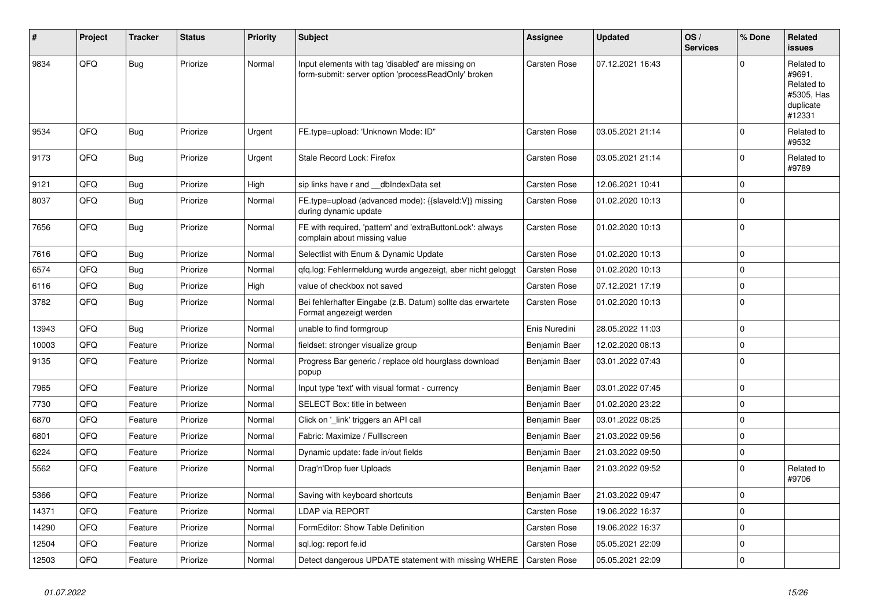| #     | <b>Project</b> | <b>Tracker</b> | <b>Status</b> | <b>Priority</b> | <b>Subject</b>                                                                                           | Assignee            | <b>Updated</b>   | OS/<br><b>Services</b> | % Done      | <b>Related</b><br><b>issues</b>                                         |
|-------|----------------|----------------|---------------|-----------------|----------------------------------------------------------------------------------------------------------|---------------------|------------------|------------------------|-------------|-------------------------------------------------------------------------|
| 9834  | QFQ            | <b>Bug</b>     | Priorize      | Normal          | Input elements with tag 'disabled' are missing on<br>form-submit: server option 'processReadOnly' broken | Carsten Rose        | 07.12.2021 16:43 |                        | $\Omega$    | Related to<br>#9691,<br>Related to<br>#5305, Has<br>duplicate<br>#12331 |
| 9534  | QFQ            | <b>Bug</b>     | Priorize      | Urgent          | FE.type=upload: 'Unknown Mode: ID"                                                                       | Carsten Rose        | 03.05.2021 21:14 |                        | $\mathbf 0$ | Related to<br>#9532                                                     |
| 9173  | QFQ            | Bug            | Priorize      | Urgent          | Stale Record Lock: Firefox                                                                               | Carsten Rose        | 03.05.2021 21:14 |                        | $\mathbf 0$ | Related to<br>#9789                                                     |
| 9121  | QFQ            | <b>Bug</b>     | Priorize      | High            | sip links have r and __dbIndexData set                                                                   | <b>Carsten Rose</b> | 12.06.2021 10:41 |                        | $\mathbf 0$ |                                                                         |
| 8037  | QFQ            | <b>Bug</b>     | Priorize      | Normal          | FE.type=upload (advanced mode): {{slaveld:V}} missing<br>during dynamic update                           | Carsten Rose        | 01.02.2020 10:13 |                        | $\mathbf 0$ |                                                                         |
| 7656  | QFQ            | <b>Bug</b>     | Priorize      | Normal          | FE with required, 'pattern' and 'extraButtonLock': always<br>complain about missing value                | <b>Carsten Rose</b> | 01.02.2020 10:13 |                        | $\mathbf 0$ |                                                                         |
| 7616  | QFQ            | <b>Bug</b>     | Priorize      | Normal          | Selectlist with Enum & Dynamic Update                                                                    | Carsten Rose        | 01.02.2020 10:13 |                        | $\mathbf 0$ |                                                                         |
| 6574  | QFQ            | Bug            | Priorize      | Normal          | gfg.log: Fehlermeldung wurde angezeigt, aber nicht geloggt                                               | Carsten Rose        | 01.02.2020 10:13 |                        | $\mathbf 0$ |                                                                         |
| 6116  | QFQ            | Bug            | Priorize      | High            | value of checkbox not saved                                                                              | <b>Carsten Rose</b> | 07.12.2021 17:19 |                        | $\mathbf 0$ |                                                                         |
| 3782  | QFQ            | Bug            | Priorize      | Normal          | Bei fehlerhafter Eingabe (z.B. Datum) sollte das erwartete<br>Format angezeigt werden                    | Carsten Rose        | 01.02.2020 10:13 |                        | $\mathbf 0$ |                                                                         |
| 13943 | QFQ            | <b>Bug</b>     | Priorize      | Normal          | unable to find formgroup                                                                                 | Enis Nuredini       | 28.05.2022 11:03 |                        | $\Omega$    |                                                                         |
| 10003 | QFQ            | Feature        | Priorize      | Normal          | fieldset: stronger visualize group                                                                       | Benjamin Baer       | 12.02.2020 08:13 |                        | $\mathbf 0$ |                                                                         |
| 9135  | QFQ            | Feature        | Priorize      | Normal          | Progress Bar generic / replace old hourglass download<br>popup                                           | Benjamin Baer       | 03.01.2022 07:43 |                        | $\Omega$    |                                                                         |
| 7965  | QFQ            | Feature        | Priorize      | Normal          | Input type 'text' with visual format - currency                                                          | Benjamin Baer       | 03.01.2022 07:45 |                        | $\Omega$    |                                                                         |
| 7730  | QFQ            | Feature        | Priorize      | Normal          | SELECT Box: title in between                                                                             | Benjamin Baer       | 01.02.2020 23:22 |                        | $\Omega$    |                                                                         |
| 6870  | QFQ            | Feature        | Priorize      | Normal          | Click on '_link' triggers an API call                                                                    | Benjamin Baer       | 03.01.2022 08:25 |                        | $\mathbf 0$ |                                                                         |
| 6801  | QFQ            | Feature        | Priorize      | Normal          | Fabric: Maximize / Fulllscreen                                                                           | Benjamin Baer       | 21.03.2022 09:56 |                        | $\Omega$    |                                                                         |
| 6224  | QFQ            | Feature        | Priorize      | Normal          | Dynamic update: fade in/out fields                                                                       | Benjamin Baer       | 21.03.2022 09:50 |                        | $\mathbf 0$ |                                                                         |
| 5562  | QFQ            | Feature        | Priorize      | Normal          | Drag'n'Drop fuer Uploads                                                                                 | Benjamin Baer       | 21.03.2022 09:52 |                        | $\Omega$    | Related to<br>#9706                                                     |
| 5366  | QFQ            | Feature        | Priorize      | Normal          | Saving with keyboard shortcuts                                                                           | Benjamin Baer       | 21.03.2022 09:47 |                        | $\mathbf 0$ |                                                                         |
| 14371 | QFQ            | Feature        | Priorize      | Normal          | LDAP via REPORT                                                                                          | Carsten Rose        | 19.06.2022 16:37 |                        | $\Omega$    |                                                                         |
| 14290 | QFQ            | Feature        | Priorize      | Normal          | FormEditor: Show Table Definition                                                                        | Carsten Rose        | 19.06.2022 16:37 |                        | $\mathbf 0$ |                                                                         |
| 12504 | QFQ            | Feature        | Priorize      | Normal          | sql.log: report fe.id                                                                                    | <b>Carsten Rose</b> | 05.05.2021 22:09 |                        | $\mathbf 0$ |                                                                         |
| 12503 | QFQ            | Feature        | Priorize      | Normal          | Detect dangerous UPDATE statement with missing WHERE                                                     | <b>Carsten Rose</b> | 05.05.2021 22:09 |                        | $\mathbf 0$ |                                                                         |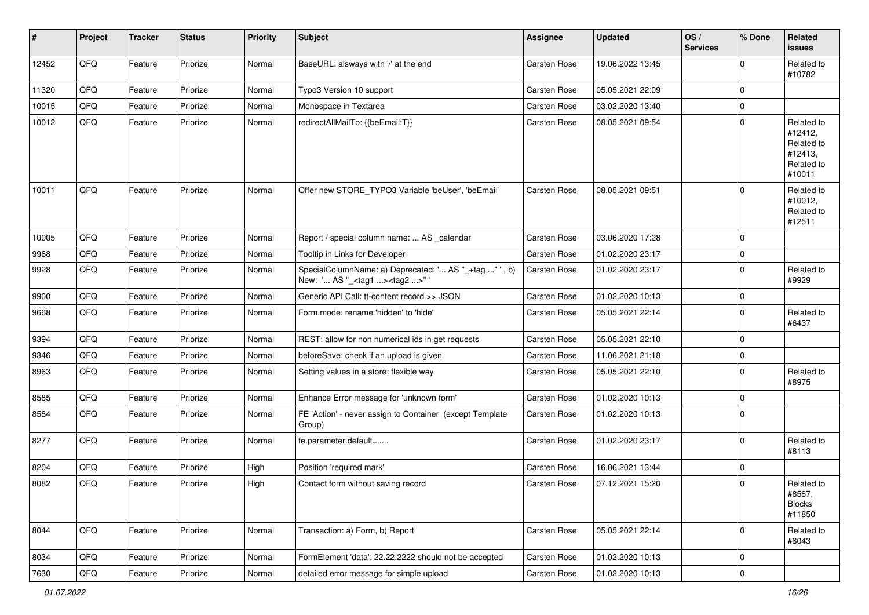| #     | Project | <b>Tracker</b> | <b>Status</b> | <b>Priority</b> | Subject                                                                                             | Assignee     | <b>Updated</b>   | OS/<br><b>Services</b> | % Done      | Related<br><b>issues</b>                                               |
|-------|---------|----------------|---------------|-----------------|-----------------------------------------------------------------------------------------------------|--------------|------------------|------------------------|-------------|------------------------------------------------------------------------|
| 12452 | QFQ     | Feature        | Priorize      | Normal          | BaseURL: alsways with '/' at the end                                                                | Carsten Rose | 19.06.2022 13:45 |                        | $\mathbf 0$ | Related to<br>#10782                                                   |
| 11320 | QFQ     | Feature        | Priorize      | Normal          | Typo3 Version 10 support                                                                            | Carsten Rose | 05.05.2021 22:09 |                        | $\mathbf 0$ |                                                                        |
| 10015 | QFQ     | Feature        | Priorize      | Normal          | Monospace in Textarea                                                                               | Carsten Rose | 03.02.2020 13:40 |                        | $\mathbf 0$ |                                                                        |
| 10012 | QFQ     | Feature        | Priorize      | Normal          | redirectAllMailTo: {{beEmail:T}}                                                                    | Carsten Rose | 08.05.2021 09:54 |                        | $\mathbf 0$ | Related to<br>#12412,<br>Related to<br>#12413,<br>Related to<br>#10011 |
| 10011 | QFQ     | Feature        | Priorize      | Normal          | Offer new STORE_TYPO3 Variable 'beUser', 'beEmail'                                                  | Carsten Rose | 08.05.2021 09:51 |                        | $\mathbf 0$ | Related to<br>#10012,<br>Related to<br>#12511                          |
| 10005 | QFQ     | Feature        | Priorize      | Normal          | Report / special column name:  AS _calendar                                                         | Carsten Rose | 03.06.2020 17:28 |                        | $\mathbf 0$ |                                                                        |
| 9968  | QFQ     | Feature        | Priorize      | Normal          | Tooltip in Links for Developer                                                                      | Carsten Rose | 01.02.2020 23:17 |                        | $\pmb{0}$   |                                                                        |
| 9928  | QFQ     | Feature        | Priorize      | Normal          | SpecialColumnName: a) Deprecated: ' AS "_+tag " ', b)<br>New: ' AS "_ <tag1><tag2>" '</tag2></tag1> | Carsten Rose | 01.02.2020 23:17 |                        | $\mathbf 0$ | Related to<br>#9929                                                    |
| 9900  | QFQ     | Feature        | Priorize      | Normal          | Generic API Call: tt-content record >> JSON                                                         | Carsten Rose | 01.02.2020 10:13 |                        | $\pmb{0}$   |                                                                        |
| 9668  | QFQ     | Feature        | Priorize      | Normal          | Form.mode: rename 'hidden' to 'hide'                                                                | Carsten Rose | 05.05.2021 22:14 |                        | $\mathbf 0$ | Related to<br>#6437                                                    |
| 9394  | QFQ     | Feature        | Priorize      | Normal          | REST: allow for non numerical ids in get requests                                                   | Carsten Rose | 05.05.2021 22:10 |                        | $\mathbf 0$ |                                                                        |
| 9346  | QFQ     | Feature        | Priorize      | Normal          | beforeSave: check if an upload is given                                                             | Carsten Rose | 11.06.2021 21:18 |                        | $\pmb{0}$   |                                                                        |
| 8963  | QFQ     | Feature        | Priorize      | Normal          | Setting values in a store: flexible way                                                             | Carsten Rose | 05.05.2021 22:10 |                        | $\pmb{0}$   | Related to<br>#8975                                                    |
| 8585  | QFQ     | Feature        | Priorize      | Normal          | Enhance Error message for 'unknown form'                                                            | Carsten Rose | 01.02.2020 10:13 |                        | $\mathbf 0$ |                                                                        |
| 8584  | QFQ     | Feature        | Priorize      | Normal          | FE 'Action' - never assign to Container (except Template<br>Group)                                  | Carsten Rose | 01.02.2020 10:13 |                        | $\mathbf 0$ |                                                                        |
| 8277  | QFQ     | Feature        | Priorize      | Normal          | fe.parameter.default=                                                                               | Carsten Rose | 01.02.2020 23:17 |                        | $\mathbf 0$ | Related to<br>#8113                                                    |
| 8204  | QFQ     | Feature        | Priorize      | High            | Position 'required mark'                                                                            | Carsten Rose | 16.06.2021 13:44 |                        | $\pmb{0}$   |                                                                        |
| 8082  | QFQ     | Feature        | Priorize      | High            | Contact form without saving record                                                                  | Carsten Rose | 07.12.2021 15:20 |                        | $\mathbf 0$ | Related to<br>#8587,<br><b>Blocks</b><br>#11850                        |
| 8044  | QFQ     | Feature        | Priorize      | Normal          | Transaction: a) Form, b) Report                                                                     | Carsten Rose | 05.05.2021 22:14 |                        | $\mathbf 0$ | Related to<br>#8043                                                    |
| 8034  | QFQ     | Feature        | Priorize      | Normal          | FormElement 'data': 22.22.2222 should not be accepted                                               | Carsten Rose | 01.02.2020 10:13 |                        | $\pmb{0}$   |                                                                        |
| 7630  | QFQ     | Feature        | Priorize      | Normal          | detailed error message for simple upload                                                            | Carsten Rose | 01.02.2020 10:13 |                        | $\pmb{0}$   |                                                                        |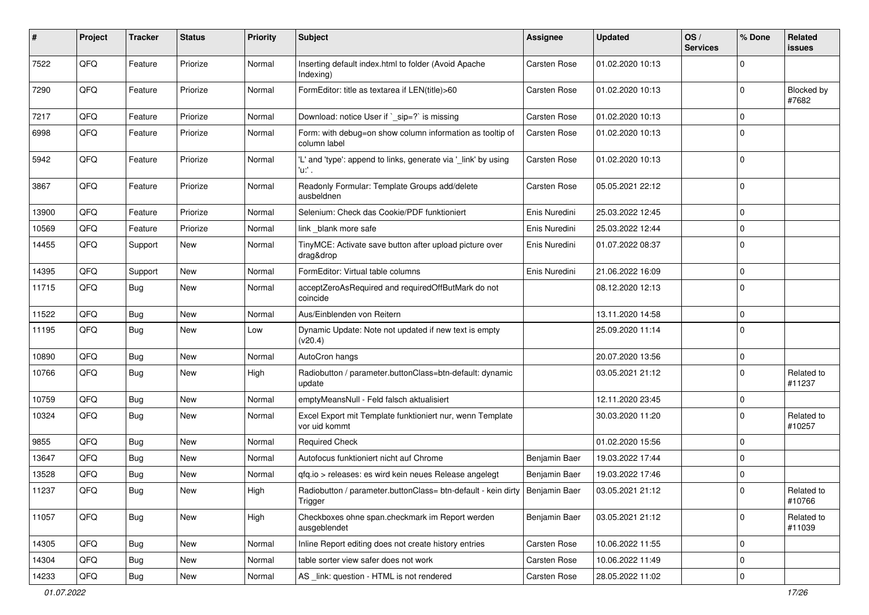| ∦     | Project | <b>Tracker</b> | <b>Status</b> | <b>Priority</b> | <b>Subject</b>                                                                           | Assignee      | <b>Updated</b>   | OS/<br><b>Services</b> | % Done      | Related<br>issues    |
|-------|---------|----------------|---------------|-----------------|------------------------------------------------------------------------------------------|---------------|------------------|------------------------|-------------|----------------------|
| 7522  | QFQ     | Feature        | Priorize      | Normal          | Inserting default index.html to folder (Avoid Apache<br>Indexing)                        | Carsten Rose  | 01.02.2020 10:13 |                        | $\Omega$    |                      |
| 7290  | QFQ     | Feature        | Priorize      | Normal          | FormEditor: title as textarea if LEN(title)>60                                           | Carsten Rose  | 01.02.2020 10:13 |                        | $\Omega$    | Blocked by<br>#7682  |
| 7217  | QFQ     | Feature        | Priorize      | Normal          | Download: notice User if `_sip=?` is missing                                             | Carsten Rose  | 01.02.2020 10:13 |                        | $\Omega$    |                      |
| 6998  | QFQ     | Feature        | Priorize      | Normal          | Form: with debug=on show column information as tooltip of<br>column label                | Carsten Rose  | 01.02.2020 10:13 |                        | $\Omega$    |                      |
| 5942  | QFQ     | Feature        | Priorize      | Normal          | 'L' and 'type': append to links, generate via '_link' by using<br>'u:' .                 | Carsten Rose  | 01.02.2020 10:13 |                        | $\Omega$    |                      |
| 3867  | QFQ     | Feature        | Priorize      | Normal          | Readonly Formular: Template Groups add/delete<br>ausbeldnen                              | Carsten Rose  | 05.05.2021 22:12 |                        | $\mathbf 0$ |                      |
| 13900 | QFQ     | Feature        | Priorize      | Normal          | Selenium: Check das Cookie/PDF funktioniert                                              | Enis Nuredini | 25.03.2022 12:45 |                        | $\mathbf 0$ |                      |
| 10569 | QFQ     | Feature        | Priorize      | Normal          | link blank more safe                                                                     | Enis Nuredini | 25.03.2022 12:44 |                        | $\Omega$    |                      |
| 14455 | QFQ     | Support        | New           | Normal          | TinyMCE: Activate save button after upload picture over<br>drag&drop                     | Enis Nuredini | 01.07.2022 08:37 |                        | $\mathbf 0$ |                      |
| 14395 | QFQ     | Support        | New           | Normal          | FormEditor: Virtual table columns                                                        | Enis Nuredini | 21.06.2022 16:09 |                        | $\Omega$    |                      |
| 11715 | QFQ     | <b>Bug</b>     | New           | Normal          | acceptZeroAsRequired and requiredOffButMark do not<br>coincide                           |               | 08.12.2020 12:13 |                        | $\Omega$    |                      |
| 11522 | QFQ     | Bug            | New           | Normal          | Aus/Einblenden von Reitern                                                               |               | 13.11.2020 14:58 |                        | $\Omega$    |                      |
| 11195 | QFQ     | Bug            | New           | Low             | Dynamic Update: Note not updated if new text is empty<br>(v20.4)                         |               | 25.09.2020 11:14 |                        | $\Omega$    |                      |
| 10890 | QFQ     | Bug            | New           | Normal          | AutoCron hangs                                                                           |               | 20.07.2020 13:56 |                        | $\mathbf 0$ |                      |
| 10766 | QFQ     | Bug            | New           | High            | Radiobutton / parameter.buttonClass=btn-default: dynamic<br>update                       |               | 03.05.2021 21:12 |                        | $\Omega$    | Related to<br>#11237 |
| 10759 | QFQ     | <b>Bug</b>     | New           | Normal          | emptyMeansNull - Feld falsch aktualisiert                                                |               | 12.11.2020 23:45 |                        | $\mathbf 0$ |                      |
| 10324 | QFQ     | Bug            | New           | Normal          | Excel Export mit Template funktioniert nur, wenn Template<br>vor uid kommt               |               | 30.03.2020 11:20 |                        | $\Omega$    | Related to<br>#10257 |
| 9855  | QFQ     | Bug            | New           | Normal          | <b>Required Check</b>                                                                    |               | 01.02.2020 15:56 |                        | $\Omega$    |                      |
| 13647 | QFQ     | Bug            | New           | Normal          | Autofocus funktioniert nicht auf Chrome                                                  | Benjamin Baer | 19.03.2022 17:44 |                        | 0           |                      |
| 13528 | QFQ     | <b>Bug</b>     | New           | Normal          | qfq.io > releases: es wird kein neues Release angelegt                                   | Benjamin Baer | 19.03.2022 17:46 |                        | $\Omega$    |                      |
| 11237 | QFQ     | Bug            | New           | High            | Radiobutton / parameter.buttonClass= btn-default - kein dirty   Benjamin Baer<br>Trigger |               | 03.05.2021 21:12 |                        | $\Omega$    | Related to<br>#10766 |
| 11057 | QFQ     | <b>Bug</b>     | New           | High            | Checkboxes ohne span.checkmark im Report werden<br>ausgeblendet                          | Benjamin Baer | 03.05.2021 21:12 |                        | $\mathbf 0$ | Related to<br>#11039 |
| 14305 | QFQ     | <b>Bug</b>     | New           | Normal          | Inline Report editing does not create history entries                                    | Carsten Rose  | 10.06.2022 11:55 |                        | $\mathbf 0$ |                      |
| 14304 | QFQ     | <b>Bug</b>     | New           | Normal          | table sorter view safer does not work                                                    | Carsten Rose  | 10.06.2022 11:49 |                        | 0           |                      |
| 14233 | QFQ     | Bug            | New           | Normal          | AS _link: question - HTML is not rendered                                                | Carsten Rose  | 28.05.2022 11:02 |                        | 0           |                      |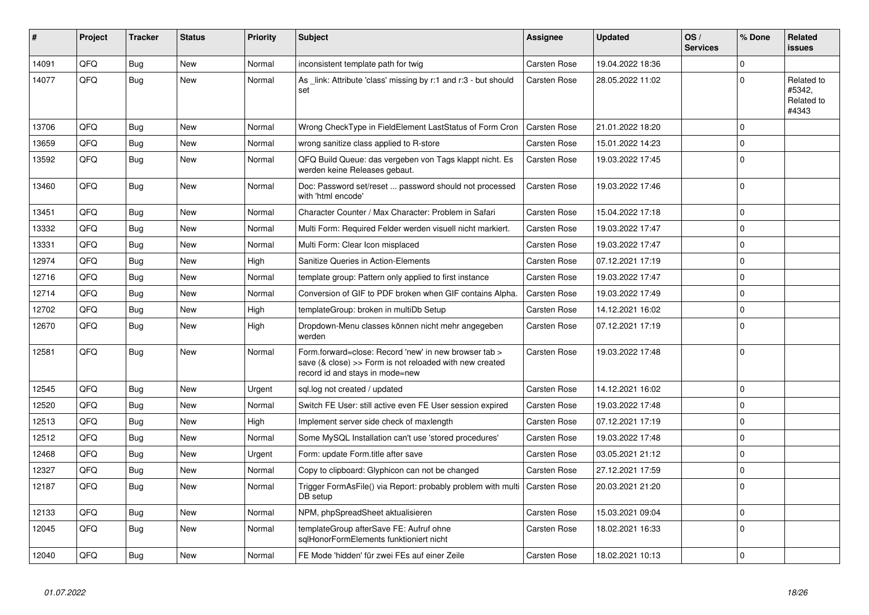| #     | <b>Project</b> | <b>Tracker</b> | <b>Status</b> | <b>Priority</b> | <b>Subject</b>                                                                                                                                      | Assignee            | <b>Updated</b>   | OS/<br><b>Services</b> | % Done         | Related<br><b>issues</b>                    |
|-------|----------------|----------------|---------------|-----------------|-----------------------------------------------------------------------------------------------------------------------------------------------------|---------------------|------------------|------------------------|----------------|---------------------------------------------|
| 14091 | QFQ            | <b>Bug</b>     | <b>New</b>    | Normal          | inconsistent template path for twig                                                                                                                 | <b>Carsten Rose</b> | 19.04.2022 18:36 |                        | $\Omega$       |                                             |
| 14077 | QFQ            | Bug            | <b>New</b>    | Normal          | As link: Attribute 'class' missing by r:1 and r:3 - but should<br>set                                                                               | <b>Carsten Rose</b> | 28.05.2022 11:02 |                        | $\Omega$       | Related to<br>#5342.<br>Related to<br>#4343 |
| 13706 | QFQ            | Bug            | New           | Normal          | Wrong CheckType in FieldElement LastStatus of Form Cron                                                                                             | <b>Carsten Rose</b> | 21.01.2022 18:20 |                        | $\Omega$       |                                             |
| 13659 | QFQ            | Bug            | <b>New</b>    | Normal          | wrong sanitize class applied to R-store                                                                                                             | <b>Carsten Rose</b> | 15.01.2022 14:23 |                        | $\mathbf 0$    |                                             |
| 13592 | QFQ            | <b>Bug</b>     | <b>New</b>    | Normal          | QFQ Build Queue: das vergeben von Tags klappt nicht. Es<br>werden keine Releases gebaut.                                                            | Carsten Rose        | 19.03.2022 17:45 |                        | $\Omega$       |                                             |
| 13460 | QFQ            | Bug            | New           | Normal          | Doc: Password set/reset  password should not processed<br>with 'html encode'                                                                        | Carsten Rose        | 19.03.2022 17:46 |                        | $\Omega$       |                                             |
| 13451 | QFQ            | Bug            | <b>New</b>    | Normal          | Character Counter / Max Character: Problem in Safari                                                                                                | <b>Carsten Rose</b> | 15.04.2022 17:18 |                        | $\mathbf 0$    |                                             |
| 13332 | QFQ            | Bug            | <b>New</b>    | Normal          | Multi Form: Required Felder werden visuell nicht markiert.                                                                                          | <b>Carsten Rose</b> | 19.03.2022 17:47 |                        | $\overline{0}$ |                                             |
| 13331 | QFQ            | Bug            | New           | Normal          | Multi Form: Clear Icon misplaced                                                                                                                    | <b>Carsten Rose</b> | 19.03.2022 17:47 |                        | $\mathbf 0$    |                                             |
| 12974 | QFQ            | <b>Bug</b>     | <b>New</b>    | High            | Sanitize Queries in Action-Elements                                                                                                                 | Carsten Rose        | 07.12.2021 17:19 |                        | $\Omega$       |                                             |
| 12716 | QFQ            | Bug            | <b>New</b>    | Normal          | template group: Pattern only applied to first instance                                                                                              | <b>Carsten Rose</b> | 19.03.2022 17:47 |                        | $\Omega$       |                                             |
| 12714 | QFQ            | Bug            | <b>New</b>    | Normal          | Conversion of GIF to PDF broken when GIF contains Alpha.                                                                                            | <b>Carsten Rose</b> | 19.03.2022 17:49 |                        | $\mathbf 0$    |                                             |
| 12702 | QFQ            | <b>Bug</b>     | <b>New</b>    | High            | templateGroup: broken in multiDb Setup                                                                                                              | <b>Carsten Rose</b> | 14.12.2021 16:02 |                        | $\mathbf 0$    |                                             |
| 12670 | QFQ            | <b>Bug</b>     | <b>New</b>    | High            | Dropdown-Menu classes können nicht mehr angegeben<br>werden                                                                                         | <b>Carsten Rose</b> | 07.12.2021 17:19 |                        | $\Omega$       |                                             |
| 12581 | QFQ            | <b>Bug</b>     | <b>New</b>    | Normal          | Form.forward=close: Record 'new' in new browser tab ><br>save (& close) >> Form is not reloaded with new created<br>record id and stays in mode=new | <b>Carsten Rose</b> | 19.03.2022 17:48 |                        | $\Omega$       |                                             |
| 12545 | QFQ            | Bug            | New           | Urgent          | sql.log not created / updated                                                                                                                       | <b>Carsten Rose</b> | 14.12.2021 16:02 |                        | $\Omega$       |                                             |
| 12520 | QFQ            | <b>Bug</b>     | <b>New</b>    | Normal          | Switch FE User: still active even FE User session expired                                                                                           | <b>Carsten Rose</b> | 19.03.2022 17:48 |                        | $\Omega$       |                                             |
| 12513 | QFQ            | <b>Bug</b>     | <b>New</b>    | High            | Implement server side check of maxlength                                                                                                            | <b>Carsten Rose</b> | 07.12.2021 17:19 |                        | $\Omega$       |                                             |
| 12512 | QFQ            | Bug            | <b>New</b>    | Normal          | Some MySQL Installation can't use 'stored procedures'                                                                                               | <b>Carsten Rose</b> | 19.03.2022 17:48 |                        | $\Omega$       |                                             |
| 12468 | QFQ            | <b>Bug</b>     | <b>New</b>    | Urgent          | Form: update Form.title after save                                                                                                                  | <b>Carsten Rose</b> | 03.05.2021 21:12 |                        | $\Omega$       |                                             |
| 12327 | QFQ            | Bug            | New           | Normal          | Copy to clipboard: Glyphicon can not be changed                                                                                                     | <b>Carsten Rose</b> | 27.12.2021 17:59 |                        | $\mathbf 0$    |                                             |
| 12187 | QFQ            | Bug            | New           | Normal          | Trigger FormAsFile() via Report: probably problem with multi<br>DB setup                                                                            | <b>Carsten Rose</b> | 20.03.2021 21:20 |                        | $\Omega$       |                                             |
| 12133 | QFQ            | Bug            | <b>New</b>    | Normal          | NPM, phpSpreadSheet aktualisieren                                                                                                                   | <b>Carsten Rose</b> | 15.03.2021 09:04 |                        | $\mathbf 0$    |                                             |
| 12045 | QFQ            | <b>Bug</b>     | <b>New</b>    | Normal          | templateGroup afterSave FE: Aufruf ohne<br>sglHonorFormElements funktioniert nicht                                                                  | Carsten Rose        | 18.02.2021 16:33 |                        | l 0            |                                             |
| 12040 | QFQ            | <b>Bug</b>     | <b>New</b>    | Normal          | FE Mode 'hidden' für zwei FEs auf einer Zeile                                                                                                       | <b>Carsten Rose</b> | 18.02.2021 10:13 |                        | $\Omega$       |                                             |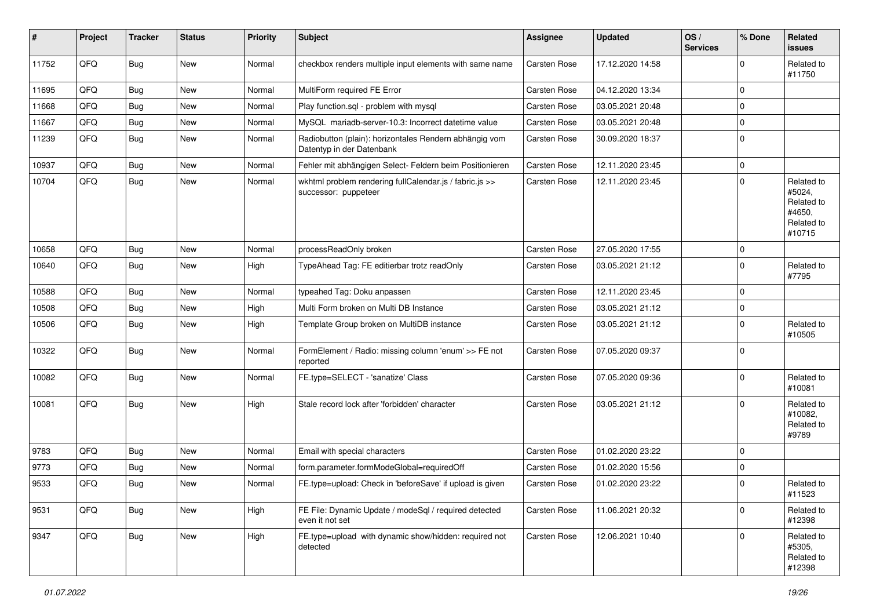| #     | Project | <b>Tracker</b> | <b>Status</b> | <b>Priority</b> | Subject                                                                             | Assignee            | <b>Updated</b>   | OS/<br><b>Services</b> | % Done         | Related<br><b>issues</b>                                             |
|-------|---------|----------------|---------------|-----------------|-------------------------------------------------------------------------------------|---------------------|------------------|------------------------|----------------|----------------------------------------------------------------------|
| 11752 | QFQ     | <b>Bug</b>     | <b>New</b>    | Normal          | checkbox renders multiple input elements with same name                             | Carsten Rose        | 17.12.2020 14:58 |                        | $\mathbf 0$    | Related to<br>#11750                                                 |
| 11695 | QFQ     | Bug            | <b>New</b>    | Normal          | MultiForm required FE Error                                                         | Carsten Rose        | 04.12.2020 13:34 |                        | $\mathbf 0$    |                                                                      |
| 11668 | QFQ     | Bug            | <b>New</b>    | Normal          | Play function.sql - problem with mysql                                              | Carsten Rose        | 03.05.2021 20:48 |                        | $\mathbf 0$    |                                                                      |
| 11667 | QFQ     | <b>Bug</b>     | New           | Normal          | MySQL mariadb-server-10.3: Incorrect datetime value                                 | <b>Carsten Rose</b> | 03.05.2021 20:48 |                        | $\mathbf 0$    |                                                                      |
| 11239 | QFQ     | Bug            | New           | Normal          | Radiobutton (plain): horizontales Rendern abhängig vom<br>Datentyp in der Datenbank | <b>Carsten Rose</b> | 30.09.2020 18:37 |                        | $\pmb{0}$      |                                                                      |
| 10937 | QFQ     | Bug            | <b>New</b>    | Normal          | Fehler mit abhängigen Select- Feldern beim Positionieren                            | Carsten Rose        | 12.11.2020 23:45 |                        | $\mathbf 0$    |                                                                      |
| 10704 | QFQ     | Bug            | New           | Normal          | wkhtml problem rendering fullCalendar.js / fabric.js >><br>successor: puppeteer     | Carsten Rose        | 12.11.2020 23:45 |                        | $\mathbf 0$    | Related to<br>#5024,<br>Related to<br>#4650,<br>Related to<br>#10715 |
| 10658 | QFQ     | Bug            | <b>New</b>    | Normal          | processReadOnly broken                                                              | Carsten Rose        | 27.05.2020 17:55 |                        | 0              |                                                                      |
| 10640 | QFQ     | Bug            | New           | High            | TypeAhead Tag: FE editierbar trotz readOnly                                         | <b>Carsten Rose</b> | 03.05.2021 21:12 |                        | $\mathbf 0$    | Related to<br>#7795                                                  |
| 10588 | QFQ     | Bug            | <b>New</b>    | Normal          | typeahed Tag: Doku anpassen                                                         | Carsten Rose        | 12.11.2020 23:45 |                        | $\mathbf 0$    |                                                                      |
| 10508 | QFQ     | Bug            | New           | High            | Multi Form broken on Multi DB Instance                                              | <b>Carsten Rose</b> | 03.05.2021 21:12 |                        | $\mathbf 0$    |                                                                      |
| 10506 | QFQ     | Bug            | New           | High            | Template Group broken on MultiDB instance                                           | Carsten Rose        | 03.05.2021 21:12 |                        | $\mathbf 0$    | Related to<br>#10505                                                 |
| 10322 | QFQ     | Bug            | New           | Normal          | FormElement / Radio: missing column 'enum' >> FE not<br>reported                    | Carsten Rose        | 07.05.2020 09:37 |                        | $\mathbf 0$    |                                                                      |
| 10082 | QFQ     | <b>Bug</b>     | New           | Normal          | FE.type=SELECT - 'sanatize' Class                                                   | <b>Carsten Rose</b> | 07.05.2020 09:36 |                        | $\mathbf 0$    | Related to<br>#10081                                                 |
| 10081 | QFQ     | <b>Bug</b>     | <b>New</b>    | High            | Stale record lock after 'forbidden' character                                       | Carsten Rose        | 03.05.2021 21:12 |                        | $\Omega$       | Related to<br>#10082,<br>Related to<br>#9789                         |
| 9783  | QFQ     | Bug            | New           | Normal          | Email with special characters                                                       | Carsten Rose        | 01.02.2020 23:22 |                        | $\mathbf 0$    |                                                                      |
| 9773  | QFQ     | Bug            | New           | Normal          | form.parameter.formModeGlobal=requiredOff                                           | <b>Carsten Rose</b> | 01.02.2020 15:56 |                        | $\overline{0}$ |                                                                      |
| 9533  | QFQ     | Bug            | New           | Normal          | FE.type=upload: Check in 'beforeSave' if upload is given                            | Carsten Rose        | 01.02.2020 23:22 |                        | $\mathbf 0$    | Related to<br>#11523                                                 |
| 9531  | QFQ     | Bug            | New           | High            | FE File: Dynamic Update / modeSql / required detected<br>even it not set            | Carsten Rose        | 11.06.2021 20:32 |                        | $\mathbf 0$    | Related to<br>#12398                                                 |
| 9347  | QFQ     | <b>Bug</b>     | New           | High            | FE.type=upload with dynamic show/hidden: required not<br>detected                   | Carsten Rose        | 12.06.2021 10:40 |                        | $\mathbf 0$    | Related to<br>#5305,<br>Related to<br>#12398                         |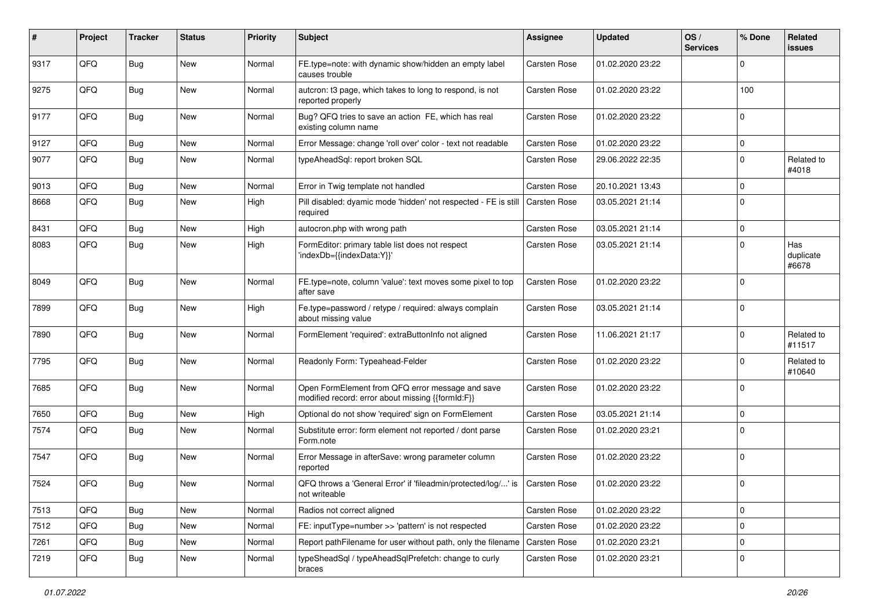| #    | Project | <b>Tracker</b> | <b>Status</b> | <b>Priority</b> | Subject                                                                                               | Assignee     | <b>Updated</b>   | OS/<br><b>Services</b> | % Done      | Related<br><b>issues</b>  |
|------|---------|----------------|---------------|-----------------|-------------------------------------------------------------------------------------------------------|--------------|------------------|------------------------|-------------|---------------------------|
| 9317 | QFQ     | <b>Bug</b>     | New           | Normal          | FE.type=note: with dynamic show/hidden an empty label<br>causes trouble                               | Carsten Rose | 01.02.2020 23:22 |                        | $\mathbf 0$ |                           |
| 9275 | QFQ     | <b>Bug</b>     | New           | Normal          | autcron: t3 page, which takes to long to respond, is not<br>reported properly                         | Carsten Rose | 01.02.2020 23:22 |                        | 100         |                           |
| 9177 | QFQ     | Bug            | <b>New</b>    | Normal          | Bug? QFQ tries to save an action FE, which has real<br>existing column name                           | Carsten Rose | 01.02.2020 23:22 |                        | $\mathbf 0$ |                           |
| 9127 | QFQ     | <b>Bug</b>     | <b>New</b>    | Normal          | Error Message: change 'roll over' color - text not readable                                           | Carsten Rose | 01.02.2020 23:22 |                        | $\mathbf 0$ |                           |
| 9077 | QFQ     | Bug            | New           | Normal          | typeAheadSql: report broken SQL                                                                       | Carsten Rose | 29.06.2022 22:35 |                        | $\mathbf 0$ | Related to<br>#4018       |
| 9013 | QFQ     | <b>Bug</b>     | New           | Normal          | Error in Twig template not handled                                                                    | Carsten Rose | 20.10.2021 13:43 |                        | $\mathbf 0$ |                           |
| 8668 | QFQ     | <b>Bug</b>     | New           | High            | Pill disabled: dyamic mode 'hidden' not respected - FE is still<br>required                           | Carsten Rose | 03.05.2021 21:14 |                        | $\mathbf 0$ |                           |
| 8431 | QFQ     | <b>Bug</b>     | <b>New</b>    | High            | autocron.php with wrong path                                                                          | Carsten Rose | 03.05.2021 21:14 |                        | $\mathbf 0$ |                           |
| 8083 | QFQ     | <b>Bug</b>     | New           | High            | FormEditor: primary table list does not respect<br>'indexDb={{indexData:Y}}'                          | Carsten Rose | 03.05.2021 21:14 |                        | $\mathbf 0$ | Has<br>duplicate<br>#6678 |
| 8049 | QFQ     | Bug            | <b>New</b>    | Normal          | FE.type=note, column 'value': text moves some pixel to top<br>after save                              | Carsten Rose | 01.02.2020 23:22 |                        | $\mathbf 0$ |                           |
| 7899 | QFQ     | <b>Bug</b>     | New           | High            | Fe.type=password / retype / required: always complain<br>about missing value                          | Carsten Rose | 03.05.2021 21:14 |                        | $\mathbf 0$ |                           |
| 7890 | QFQ     | <b>Bug</b>     | <b>New</b>    | Normal          | FormElement 'required': extraButtonInfo not aligned                                                   | Carsten Rose | 11.06.2021 21:17 |                        | $\mathbf 0$ | Related to<br>#11517      |
| 7795 | QFQ     | <b>Bug</b>     | <b>New</b>    | Normal          | Readonly Form: Typeahead-Felder                                                                       | Carsten Rose | 01.02.2020 23:22 |                        | 0           | Related to<br>#10640      |
| 7685 | QFQ     | <b>Bug</b>     | New           | Normal          | Open FormElement from QFQ error message and save<br>modified record: error about missing {{formId:F}} | Carsten Rose | 01.02.2020 23:22 |                        | $\mathbf 0$ |                           |
| 7650 | QFQ     | Bug            | <b>New</b>    | High            | Optional do not show 'required' sign on FormElement                                                   | Carsten Rose | 03.05.2021 21:14 |                        | $\mathbf 0$ |                           |
| 7574 | QFQ     | <b>Bug</b>     | New           | Normal          | Substitute error: form element not reported / dont parse<br>Form.note                                 | Carsten Rose | 01.02.2020 23:21 |                        | $\mathbf 0$ |                           |
| 7547 | QFQ     | <b>Bug</b>     | <b>New</b>    | Normal          | Error Message in afterSave: wrong parameter column<br>reported                                        | Carsten Rose | 01.02.2020 23:22 |                        | $\mathbf 0$ |                           |
| 7524 | QFQ     | <b>Bug</b>     | New           | Normal          | QFQ throws a 'General Error' if 'fileadmin/protected/log/' is<br>not writeable                        | Carsten Rose | 01.02.2020 23:22 |                        | $\mathbf 0$ |                           |
| 7513 | QFQ     | <b>Bug</b>     | <b>New</b>    | Normal          | Radios not correct aligned                                                                            | Carsten Rose | 01.02.2020 23:22 |                        | $\mathsf 0$ |                           |
| 7512 | QFQ     | <b>Bug</b>     | New           | Normal          | FE: inputType=number >> 'pattern' is not respected                                                    | Carsten Rose | 01.02.2020 23:22 |                        | $\mathsf 0$ |                           |
| 7261 | QFQ     | Bug            | New           | Normal          | Report pathFilename for user without path, only the filename                                          | Carsten Rose | 01.02.2020 23:21 |                        | $\mathbf 0$ |                           |
| 7219 | QFQ     | <b>Bug</b>     | New           | Normal          | typeSheadSql / typeAheadSqlPrefetch: change to curly<br>braces                                        | Carsten Rose | 01.02.2020 23:21 |                        | 0           |                           |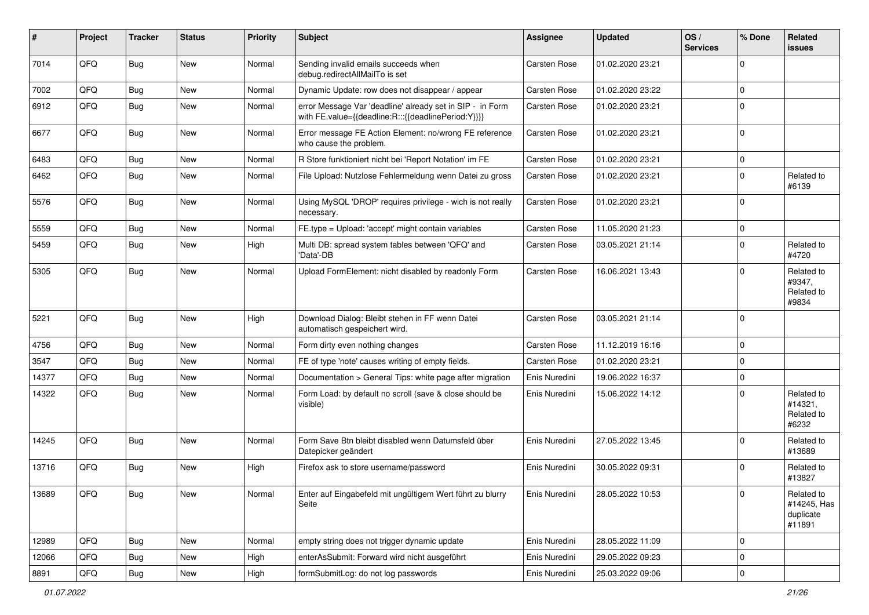| #     | Project | <b>Tracker</b> | <b>Status</b> | <b>Priority</b> | Subject                                                                                                          | <b>Assignee</b> | <b>Updated</b>   | OS/<br><b>Services</b> | % Done      | Related<br>issues                                |
|-------|---------|----------------|---------------|-----------------|------------------------------------------------------------------------------------------------------------------|-----------------|------------------|------------------------|-------------|--------------------------------------------------|
| 7014  | QFQ     | <b>Bug</b>     | New           | Normal          | Sending invalid emails succeeds when<br>debug.redirectAllMailTo is set                                           | Carsten Rose    | 01.02.2020 23:21 |                        | $\Omega$    |                                                  |
| 7002  | QFQ     | Bug            | New           | Normal          | Dynamic Update: row does not disappear / appear                                                                  | Carsten Rose    | 01.02.2020 23:22 |                        | $\mathbf 0$ |                                                  |
| 6912  | QFQ     | Bug            | New           | Normal          | error Message Var 'deadline' already set in SIP - in Form<br>with FE.value={{deadline:R:::{{deadlinePeriod:Y}}}} | Carsten Rose    | 01.02.2020 23:21 |                        | $\mathbf 0$ |                                                  |
| 6677  | QFQ     | Bug            | <b>New</b>    | Normal          | Error message FE Action Element: no/wrong FE reference<br>who cause the problem.                                 | Carsten Rose    | 01.02.2020 23:21 |                        | $\mathbf 0$ |                                                  |
| 6483  | QFQ     | Bug            | New           | Normal          | R Store funktioniert nicht bei 'Report Notation' im FE                                                           | Carsten Rose    | 01.02.2020 23:21 |                        | $\mathbf 0$ |                                                  |
| 6462  | QFQ     | Bug            | New           | Normal          | File Upload: Nutzlose Fehlermeldung wenn Datei zu gross                                                          | Carsten Rose    | 01.02.2020 23:21 |                        | $\mathbf 0$ | Related to<br>#6139                              |
| 5576  | QFQ     | <b>Bug</b>     | New           | Normal          | Using MySQL 'DROP' requires privilege - wich is not really<br>necessary.                                         | Carsten Rose    | 01.02.2020 23:21 |                        | $\Omega$    |                                                  |
| 5559  | QFQ     | <b>Bug</b>     | <b>New</b>    | Normal          | FE.type = Upload: 'accept' might contain variables                                                               | Carsten Rose    | 11.05.2020 21:23 |                        | $\mathbf 0$ |                                                  |
| 5459  | QFQ     | <b>Bug</b>     | <b>New</b>    | High            | Multi DB: spread system tables between 'QFQ' and<br>'Data'-DB                                                    | Carsten Rose    | 03.05.2021 21:14 |                        | $\mathbf 0$ | Related to<br>#4720                              |
| 5305  | QFQ     | Bug            | <b>New</b>    | Normal          | Upload FormElement: nicht disabled by readonly Form                                                              | Carsten Rose    | 16.06.2021 13:43 |                        | $\Omega$    | Related to<br>#9347,<br>Related to<br>#9834      |
| 5221  | QFQ     | Bug            | <b>New</b>    | High            | Download Dialog: Bleibt stehen in FF wenn Datei<br>automatisch gespeichert wird.                                 | Carsten Rose    | 03.05.2021 21:14 |                        | $\Omega$    |                                                  |
| 4756  | QFQ     | Bug            | <b>New</b>    | Normal          | Form dirty even nothing changes                                                                                  | Carsten Rose    | 11.12.2019 16:16 |                        | $\Omega$    |                                                  |
| 3547  | QFQ     | Bug            | <b>New</b>    | Normal          | FE of type 'note' causes writing of empty fields.                                                                | Carsten Rose    | 01.02.2020 23:21 |                        | $\mathbf 0$ |                                                  |
| 14377 | QFQ     | Bug            | <b>New</b>    | Normal          | Documentation > General Tips: white page after migration                                                         | Enis Nuredini   | 19.06.2022 16:37 |                        | $\mathbf 0$ |                                                  |
| 14322 | QFQ     | <b>Bug</b>     | New           | Normal          | Form Load: by default no scroll (save & close should be<br>visible)                                              | Enis Nuredini   | 15.06.2022 14:12 |                        | $\mathbf 0$ | Related to<br>#14321,<br>Related to<br>#6232     |
| 14245 | QFQ     | Bug            | <b>New</b>    | Normal          | Form Save Btn bleibt disabled wenn Datumsfeld über<br>Datepicker geändert                                        | Enis Nuredini   | 27.05.2022 13:45 |                        | $\Omega$    | Related to<br>#13689                             |
| 13716 | QFQ     | <b>Bug</b>     | <b>New</b>    | High            | Firefox ask to store username/password                                                                           | Enis Nuredini   | 30.05.2022 09:31 |                        | $\mathbf 0$ | Related to<br>#13827                             |
| 13689 | QFQ     | Bug            | New           | Normal          | Enter auf Eingabefeld mit ungültigem Wert führt zu blurry<br>Seite                                               | Enis Nuredini   | 28.05.2022 10:53 |                        | 0           | Related to<br>#14245, Has<br>duplicate<br>#11891 |
| 12989 | QFQ     | Bug            | New           | Normal          | empty string does not trigger dynamic update                                                                     | Enis Nuredini   | 28.05.2022 11:09 |                        | $\mathbf 0$ |                                                  |
| 12066 | QFQ     | <b>Bug</b>     | New           | High            | enterAsSubmit: Forward wird nicht ausgeführt                                                                     | Enis Nuredini   | 29.05.2022 09:23 |                        | $\mathbf 0$ |                                                  |
| 8891  | QFQ     | <b>Bug</b>     | New           | High            | formSubmitLog: do not log passwords                                                                              | Enis Nuredini   | 25.03.2022 09:06 |                        | $\mathbf 0$ |                                                  |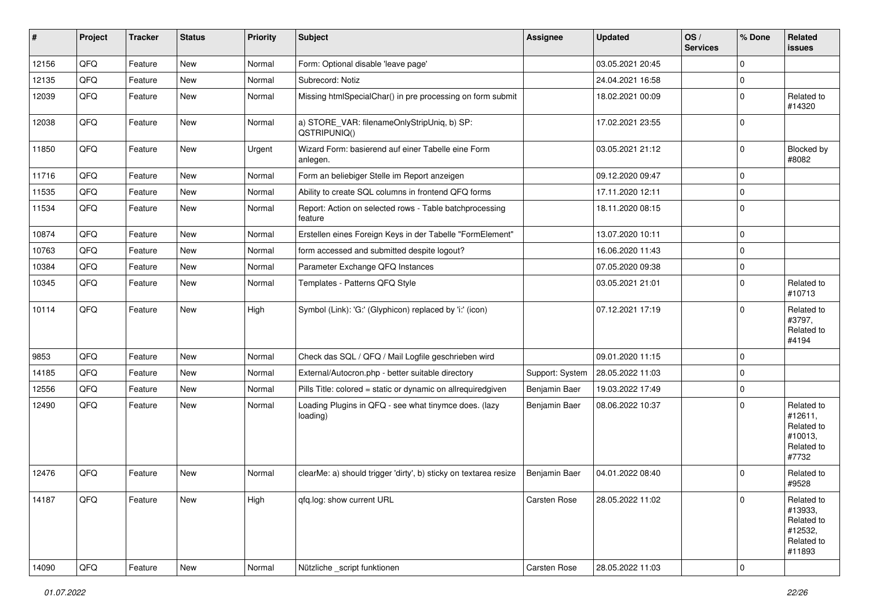| #     | Project        | <b>Tracker</b> | <b>Status</b> | <b>Priority</b> | <b>Subject</b>                                                     | <b>Assignee</b> | <b>Updated</b>   | $\log$<br><b>Services</b> | % Done      | Related<br><b>issues</b>                                               |
|-------|----------------|----------------|---------------|-----------------|--------------------------------------------------------------------|-----------------|------------------|---------------------------|-------------|------------------------------------------------------------------------|
| 12156 | QFQ            | Feature        | New           | Normal          | Form: Optional disable 'leave page'                                |                 | 03.05.2021 20:45 |                           | $\mathbf 0$ |                                                                        |
| 12135 | QFQ            | Feature        | <b>New</b>    | Normal          | Subrecord: Notiz                                                   |                 | 24.04.2021 16:58 |                           | $\pmb{0}$   |                                                                        |
| 12039 | QFQ            | Feature        | New           | Normal          | Missing htmlSpecialChar() in pre processing on form submit         |                 | 18.02.2021 00:09 |                           | $\pmb{0}$   | Related to<br>#14320                                                   |
| 12038 | QFQ            | Feature        | New           | Normal          | a) STORE_VAR: filenameOnlyStripUniq, b) SP:<br>QSTRIPUNIQ()        |                 | 17.02.2021 23:55 |                           | $\mathbf 0$ |                                                                        |
| 11850 | QFQ            | Feature        | New           | Urgent          | Wizard Form: basierend auf einer Tabelle eine Form<br>anlegen.     |                 | 03.05.2021 21:12 |                           | $\mathbf 0$ | Blocked by<br>#8082                                                    |
| 11716 | QFQ            | Feature        | <b>New</b>    | Normal          | Form an beliebiger Stelle im Report anzeigen                       |                 | 09.12.2020 09:47 |                           | $\pmb{0}$   |                                                                        |
| 11535 | QFQ            | Feature        | New           | Normal          | Ability to create SQL columns in frontend QFQ forms                |                 | 17.11.2020 12:11 |                           | $\pmb{0}$   |                                                                        |
| 11534 | QFQ            | Feature        | New           | Normal          | Report: Action on selected rows - Table batchprocessing<br>feature |                 | 18.11.2020 08:15 |                           | $\mathbf 0$ |                                                                        |
| 10874 | QFQ            | Feature        | <b>New</b>    | Normal          | Erstellen eines Foreign Keys in der Tabelle "FormElement"          |                 | 13.07.2020 10:11 |                           | $\pmb{0}$   |                                                                        |
| 10763 | QFQ            | Feature        | New           | Normal          | form accessed and submitted despite logout?                        |                 | 16.06.2020 11:43 |                           | $\pmb{0}$   |                                                                        |
| 10384 | QFQ            | Feature        | New           | Normal          | Parameter Exchange QFQ Instances                                   |                 | 07.05.2020 09:38 |                           | $\pmb{0}$   |                                                                        |
| 10345 | QFQ            | Feature        | New           | Normal          | Templates - Patterns QFQ Style                                     |                 | 03.05.2021 21:01 |                           | $\mathbf 0$ | Related to<br>#10713                                                   |
| 10114 | QFQ            | Feature        | New           | High            | Symbol (Link): 'G:' (Glyphicon) replaced by 'i:' (icon)            |                 | 07.12.2021 17:19 |                           | $\mathbf 0$ | Related to<br>#3797,<br>Related to<br>#4194                            |
| 9853  | QFQ            | Feature        | <b>New</b>    | Normal          | Check das SQL / QFQ / Mail Logfile geschrieben wird                |                 | 09.01.2020 11:15 |                           | $\mathbf 0$ |                                                                        |
| 14185 | QFQ            | Feature        | New           | Normal          | External/Autocron.php - better suitable directory                  | Support: System | 28.05.2022 11:03 |                           | $\mathbf 0$ |                                                                        |
| 12556 | QFQ            | Feature        | <b>New</b>    | Normal          | Pills Title: colored = static or dynamic on allrequiredgiven       | Benjamin Baer   | 19.03.2022 17:49 |                           | $\pmb{0}$   |                                                                        |
| 12490 | QFQ            | Feature        | New           | Normal          | Loading Plugins in QFQ - see what tinymce does. (lazy<br>loading)  | Benjamin Baer   | 08.06.2022 10:37 |                           | $\mathbf 0$ | Related to<br>#12611,<br>Related to<br>#10013,<br>Related to<br>#7732  |
| 12476 | QFQ            | Feature        | New           | Normal          | clearMe: a) should trigger 'dirty', b) sticky on textarea resize   | Benjamin Baer   | 04.01.2022 08:40 |                           | $\Omega$    | Related to<br>#9528                                                    |
| 14187 | QFO            | Feature        | New           | High            | qfq.log: show current URL                                          | Carsten Rose    | 28.05.2022 11:02 |                           | $\pmb{0}$   | Related to<br>#13933,<br>Related to<br>#12532,<br>Related to<br>#11893 |
| 14090 | $\mathsf{QFQ}$ | Feature        | New           | Normal          | Nützliche _script funktionen                                       | Carsten Rose    | 28.05.2022 11:03 |                           | $\pmb{0}$   |                                                                        |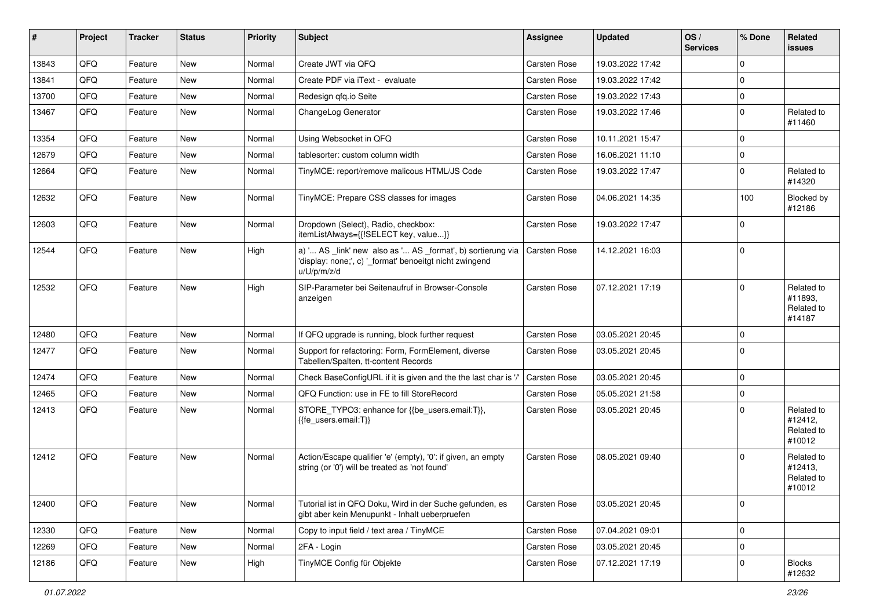| #     | Project | <b>Tracker</b> | <b>Status</b> | <b>Priority</b> | Subject                                                                                                                               | <b>Assignee</b> | <b>Updated</b>   | $\log$<br><b>Services</b> | % Done      | Related<br><b>issues</b>                      |
|-------|---------|----------------|---------------|-----------------|---------------------------------------------------------------------------------------------------------------------------------------|-----------------|------------------|---------------------------|-------------|-----------------------------------------------|
| 13843 | QFQ     | Feature        | New           | Normal          | Create JWT via QFQ                                                                                                                    | Carsten Rose    | 19.03.2022 17:42 |                           | $\mathbf 0$ |                                               |
| 13841 | QFQ     | Feature        | New           | Normal          | Create PDF via iText - evaluate                                                                                                       | Carsten Rose    | 19.03.2022 17:42 |                           | $\mathbf 0$ |                                               |
| 13700 | QFQ     | Feature        | New           | Normal          | Redesign qfq.io Seite                                                                                                                 | Carsten Rose    | 19.03.2022 17:43 |                           | $\mathbf 0$ |                                               |
| 13467 | QFQ     | Feature        | New           | Normal          | ChangeLog Generator                                                                                                                   | Carsten Rose    | 19.03.2022 17:46 |                           | $\mathbf 0$ | Related to<br>#11460                          |
| 13354 | QFQ     | Feature        | New           | Normal          | Using Websocket in QFQ                                                                                                                | Carsten Rose    | 10.11.2021 15:47 |                           | $\mathbf 0$ |                                               |
| 12679 | QFQ     | Feature        | New           | Normal          | tablesorter: custom column width                                                                                                      | Carsten Rose    | 16.06.2021 11:10 |                           | $\pmb{0}$   |                                               |
| 12664 | QFQ     | Feature        | New           | Normal          | TinyMCE: report/remove malicous HTML/JS Code                                                                                          | Carsten Rose    | 19.03.2022 17:47 |                           | $\mathbf 0$ | Related to<br>#14320                          |
| 12632 | QFQ     | Feature        | New           | Normal          | TinyMCE: Prepare CSS classes for images                                                                                               | Carsten Rose    | 04.06.2021 14:35 |                           | 100         | Blocked by<br>#12186                          |
| 12603 | QFQ     | Feature        | New           | Normal          | Dropdown (Select), Radio, checkbox:<br>itemListAlways={{!SELECT key, value}}                                                          | Carsten Rose    | 19.03.2022 17:47 |                           | $\mathbf 0$ |                                               |
| 12544 | QFQ     | Feature        | New           | High            | a) ' AS _link' new also as ' AS _format', b) sortierung via<br>'display: none;', c) '_format' benoeitgt nicht zwingend<br>u/U/p/m/z/d | Carsten Rose    | 14.12.2021 16:03 |                           | $\pmb{0}$   |                                               |
| 12532 | QFQ     | Feature        | New           | High            | SIP-Parameter bei Seitenaufruf in Browser-Console<br>anzeigen                                                                         | Carsten Rose    | 07.12.2021 17:19 |                           | $\mathbf 0$ | Related to<br>#11893,<br>Related to<br>#14187 |
| 12480 | QFQ     | Feature        | New           | Normal          | If QFQ upgrade is running, block further request                                                                                      | Carsten Rose    | 03.05.2021 20:45 |                           | $\mathbf 0$ |                                               |
| 12477 | QFQ     | Feature        | New           | Normal          | Support for refactoring: Form, FormElement, diverse<br>Tabellen/Spalten, tt-content Records                                           | Carsten Rose    | 03.05.2021 20:45 |                           | $\mathbf 0$ |                                               |
| 12474 | QFQ     | Feature        | New           | Normal          | Check BaseConfigURL if it is given and the the last char is '/'                                                                       | Carsten Rose    | 03.05.2021 20:45 |                           | $\pmb{0}$   |                                               |
| 12465 | QFQ     | Feature        | New           | Normal          | QFQ Function: use in FE to fill StoreRecord                                                                                           | Carsten Rose    | 05.05.2021 21:58 |                           | $\mathbf 0$ |                                               |
| 12413 | QFQ     | Feature        | New           | Normal          | STORE_TYPO3: enhance for {{be_users.email:T}},<br>{{fe users.email:T}}                                                                | Carsten Rose    | 03.05.2021 20:45 |                           | $\Omega$    | Related to<br>#12412,<br>Related to<br>#10012 |
| 12412 | QFQ     | Feature        | New           | Normal          | Action/Escape qualifier 'e' (empty), '0': if given, an empty<br>string (or '0') will be treated as 'not found'                        | Carsten Rose    | 08.05.2021 09:40 |                           | $\mathbf 0$ | Related to<br>#12413,<br>Related to<br>#10012 |
| 12400 | QFQ     | Feature        | New           | Normal          | Tutorial ist in QFQ Doku, Wird in der Suche gefunden, es<br>gibt aber kein Menupunkt - Inhalt ueberpruefen                            | Carsten Rose    | 03.05.2021 20:45 |                           | $\pmb{0}$   |                                               |
| 12330 | QFQ     | Feature        | New           | Normal          | Copy to input field / text area / TinyMCE                                                                                             | Carsten Rose    | 07.04.2021 09:01 |                           | $\mathbf 0$ |                                               |
| 12269 | QFQ     | Feature        | New           | Normal          | 2FA - Login                                                                                                                           | Carsten Rose    | 03.05.2021 20:45 |                           | $\pmb{0}$   |                                               |
| 12186 | QFQ     | Feature        | New           | High            | TinyMCE Config für Objekte                                                                                                            | Carsten Rose    | 07.12.2021 17:19 |                           | $\pmb{0}$   | <b>Blocks</b><br>#12632                       |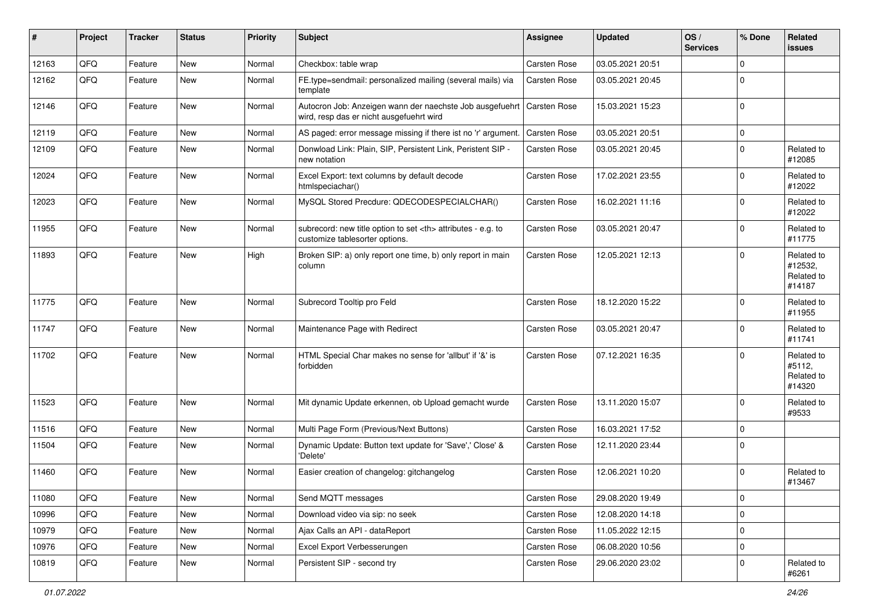| #     | Project | <b>Tracker</b> | <b>Status</b> | <b>Priority</b> | Subject                                                                                                             | Assignee                                               | <b>Updated</b>   | OS/<br><b>Services</b> | % Done      | Related<br><b>issues</b>                      |                      |
|-------|---------|----------------|---------------|-----------------|---------------------------------------------------------------------------------------------------------------------|--------------------------------------------------------|------------------|------------------------|-------------|-----------------------------------------------|----------------------|
| 12163 | QFQ     | Feature        | New           | Normal          | Checkbox: table wrap                                                                                                | Carsten Rose                                           | 03.05.2021 20:51 |                        | $\Omega$    |                                               |                      |
| 12162 | QFQ     | Feature        | New           | Normal          | FE.type=sendmail: personalized mailing (several mails) via<br>template                                              | Carsten Rose                                           | 03.05.2021 20:45 |                        | $\Omega$    |                                               |                      |
| 12146 | QFQ     | Feature        | New           | Normal          | Autocron Job: Anzeigen wann der naechste Job ausgefuehrt   Carsten Rose<br>wird, resp das er nicht ausgefuehrt wird |                                                        | 15.03.2021 15:23 |                        | $\Omega$    |                                               |                      |
| 12119 | QFQ     | Feature        | New           | Normal          | AS paged: error message missing if there ist no 'r' argument.                                                       | Carsten Rose                                           | 03.05.2021 20:51 |                        | $\Omega$    |                                               |                      |
| 12109 | QFQ     | Feature        | New           | Normal          | Donwload Link: Plain, SIP, Persistent Link, Peristent SIP -<br>new notation                                         | Carsten Rose                                           | 03.05.2021 20:45 |                        | $\Omega$    | Related to<br>#12085                          |                      |
| 12024 | QFQ     | Feature        | New           | Normal          | Excel Export: text columns by default decode<br>htmlspeciachar()                                                    | Carsten Rose                                           | 17.02.2021 23:55 |                        | $\Omega$    | Related to<br>#12022                          |                      |
| 12023 | QFQ     | Feature        | New           | Normal          | MySQL Stored Precdure: QDECODESPECIALCHAR()                                                                         | Carsten Rose                                           | 16.02.2021 11:16 |                        | $\Omega$    | Related to<br>#12022                          |                      |
| 11955 | QFQ     | Feature        | New           | Normal          | subrecord: new title option to set <th> attributes - e.g. to<br/>customize tablesorter options.</th>                | attributes - e.g. to<br>customize tablesorter options. | Carsten Rose     | 03.05.2021 20:47       |             | $\Omega$                                      | Related to<br>#11775 |
| 11893 | QFQ     | Feature        | New           | High            | Broken SIP: a) only report one time, b) only report in main<br>column                                               | Carsten Rose                                           | 12.05.2021 12:13 |                        | $\Omega$    | Related to<br>#12532,<br>Related to<br>#14187 |                      |
| 11775 | QFQ     | Feature        | New           | Normal          | Subrecord Tooltip pro Feld                                                                                          | Carsten Rose                                           | 18.12.2020 15:22 |                        | $\Omega$    | Related to<br>#11955                          |                      |
| 11747 | QFQ     | Feature        | New           | Normal          | Maintenance Page with Redirect                                                                                      | Carsten Rose                                           | 03.05.2021 20:47 |                        | $\Omega$    | Related to<br>#11741                          |                      |
| 11702 | QFQ     | Feature        | New           | Normal          | HTML Special Char makes no sense for 'allbut' if '&' is<br>forbidden                                                | Carsten Rose                                           | 07.12.2021 16:35 |                        | $\Omega$    | Related to<br>#5112,<br>Related to<br>#14320  |                      |
| 11523 | QFQ     | Feature        | New           | Normal          | Mit dynamic Update erkennen, ob Upload gemacht wurde                                                                | Carsten Rose                                           | 13.11.2020 15:07 |                        | $\Omega$    | Related to<br>#9533                           |                      |
| 11516 | QFQ     | Feature        | New           | Normal          | Multi Page Form (Previous/Next Buttons)                                                                             | Carsten Rose                                           | 16.03.2021 17:52 |                        | $\Omega$    |                                               |                      |
| 11504 | QFQ     | Feature        | New           | Normal          | Dynamic Update: Button text update for 'Save',' Close' &<br>'Delete'                                                | Carsten Rose                                           | 12.11.2020 23:44 |                        | $\Omega$    |                                               |                      |
| 11460 | QFQ     | Feature        | <b>New</b>    | Normal          | Easier creation of changelog: gitchangelog                                                                          | Carsten Rose                                           | 12.06.2021 10:20 |                        | $\Omega$    | Related to<br>#13467                          |                      |
| 11080 | QFQ     | Feature        | New           | Normal          | Send MQTT messages                                                                                                  | Carsten Rose                                           | 29.08.2020 19:49 |                        | 0           |                                               |                      |
| 10996 | QFQ     | Feature        | New           | Normal          | Download video via sip: no seek                                                                                     | Carsten Rose                                           | 12.08.2020 14:18 |                        | 0           |                                               |                      |
| 10979 | QFQ     | Feature        | New           | Normal          | Ajax Calls an API - dataReport                                                                                      | Carsten Rose                                           | 11.05.2022 12:15 |                        | $\mathbf 0$ |                                               |                      |
| 10976 | QFQ     | Feature        | New           | Normal          | Excel Export Verbesserungen                                                                                         | Carsten Rose                                           | 06.08.2020 10:56 |                        | 0           |                                               |                      |
| 10819 | QFQ     | Feature        | New           | Normal          | Persistent SIP - second try                                                                                         | Carsten Rose                                           | 29.06.2020 23:02 |                        | 0           | Related to<br>#6261                           |                      |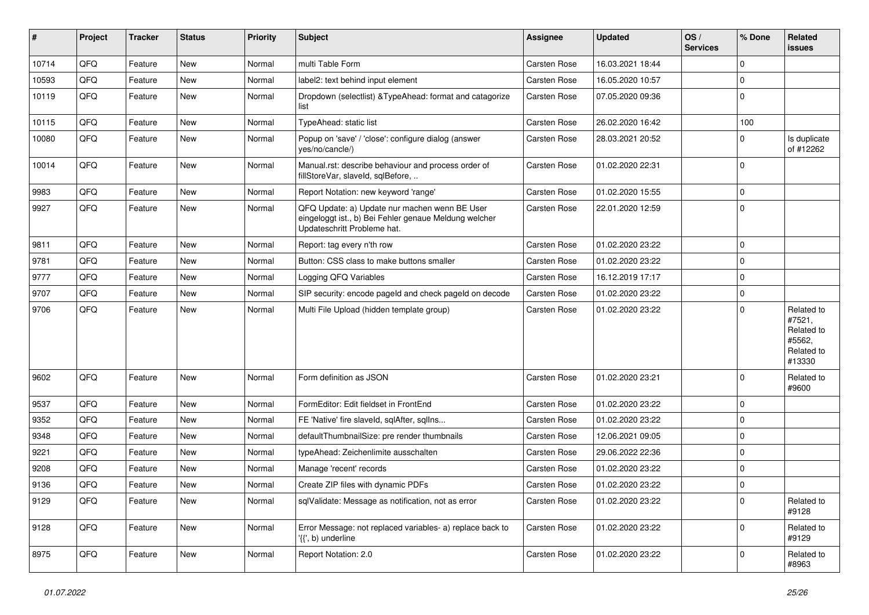| ∦     | Project | <b>Tracker</b> | <b>Status</b> | <b>Priority</b> | Subject                                                                                                                               | Assignee            | <b>Updated</b>   | OS/<br><b>Services</b> | % Done      | Related<br><b>issues</b>                                             |
|-------|---------|----------------|---------------|-----------------|---------------------------------------------------------------------------------------------------------------------------------------|---------------------|------------------|------------------------|-------------|----------------------------------------------------------------------|
| 10714 | QFQ     | Feature        | <b>New</b>    | Normal          | multi Table Form                                                                                                                      | Carsten Rose        | 16.03.2021 18:44 |                        | $\mathbf 0$ |                                                                      |
| 10593 | QFQ     | Feature        | New           | Normal          | label2: text behind input element                                                                                                     | Carsten Rose        | 16.05.2020 10:57 |                        | $\mathbf 0$ |                                                                      |
| 10119 | QFQ     | Feature        | New           | Normal          | Dropdown (selectlist) & TypeAhead: format and catagorize<br>list                                                                      | Carsten Rose        | 07.05.2020 09:36 |                        | $\mathbf 0$ |                                                                      |
| 10115 | QFQ     | Feature        | New           | Normal          | TypeAhead: static list                                                                                                                | Carsten Rose        | 26.02.2020 16:42 |                        | 100         |                                                                      |
| 10080 | QFQ     | Feature        | New           | Normal          | Popup on 'save' / 'close': configure dialog (answer<br>ves/no/cancle/)                                                                | Carsten Rose        | 28.03.2021 20:52 |                        | 0           | Is duplicate<br>of #12262                                            |
| 10014 | QFQ     | Feature        | New           | Normal          | Manual.rst: describe behaviour and process order of<br>fillStoreVar, slaveId, sqlBefore,                                              | <b>Carsten Rose</b> | 01.02.2020 22:31 |                        | $\Omega$    |                                                                      |
| 9983  | QFQ     | Feature        | New           | Normal          | Report Notation: new keyword 'range'                                                                                                  | Carsten Rose        | 01.02.2020 15:55 |                        | $\mathbf 0$ |                                                                      |
| 9927  | QFQ     | Feature        | New           | Normal          | QFQ Update: a) Update nur machen wenn BE User<br>eingeloggt ist., b) Bei Fehler genaue Meldung welcher<br>Updateschritt Probleme hat. | Carsten Rose        | 22.01.2020 12:59 |                        | $\mathbf 0$ |                                                                      |
| 9811  | QFQ     | Feature        | <b>New</b>    | Normal          | Report: tag every n'th row                                                                                                            | Carsten Rose        | 01.02.2020 23:22 |                        | $\mathbf 0$ |                                                                      |
| 9781  | QFQ     | Feature        | <b>New</b>    | Normal          | Button: CSS class to make buttons smaller                                                                                             | <b>Carsten Rose</b> | 01.02.2020 23:22 |                        | $\mathbf 0$ |                                                                      |
| 9777  | QFQ     | Feature        | New           | Normal          | Logging QFQ Variables                                                                                                                 | Carsten Rose        | 16.12.2019 17:17 |                        | $\mathbf 0$ |                                                                      |
| 9707  | QFQ     | Feature        | New           | Normal          | SIP security: encode pageId and check pageId on decode                                                                                | Carsten Rose        | 01.02.2020 23:22 |                        | $\mathbf 0$ |                                                                      |
| 9706  | QFQ     | Feature        | New           | Normal          | Multi File Upload (hidden template group)                                                                                             | Carsten Rose        | 01.02.2020 23:22 |                        | $\mathbf 0$ | Related to<br>#7521,<br>Related to<br>#5562,<br>Related to<br>#13330 |
| 9602  | QFQ     | Feature        | New           | Normal          | Form definition as JSON                                                                                                               | Carsten Rose        | 01.02.2020 23:21 |                        | 0           | Related to<br>#9600                                                  |
| 9537  | QFQ     | Feature        | <b>New</b>    | Normal          | FormEditor: Edit fieldset in FrontEnd                                                                                                 | <b>Carsten Rose</b> | 01.02.2020 23:22 |                        | $\mathbf 0$ |                                                                      |
| 9352  | QFQ     | Feature        | New           | Normal          | FE 'Native' fire slaveld, sqlAfter, sqlIns                                                                                            | Carsten Rose        | 01.02.2020 23:22 |                        | $\mathbf 0$ |                                                                      |
| 9348  | QFQ     | Feature        | New           | Normal          | defaultThumbnailSize: pre render thumbnails                                                                                           | <b>Carsten Rose</b> | 12.06.2021 09:05 |                        | $\mathbf 0$ |                                                                      |
| 9221  | QFQ     | Feature        | New           | Normal          | typeAhead: Zeichenlimite ausschalten                                                                                                  | Carsten Rose        | 29.06.2022 22:36 |                        | $\Omega$    |                                                                      |
| 9208  | QFQ     | Feature        | New           | Normal          | Manage 'recent' records                                                                                                               | Carsten Rose        | 01.02.2020 23:22 |                        | $\Omega$    |                                                                      |
| 9136  | QFQ     | Feature        | New           | Normal          | Create ZIP files with dynamic PDFs                                                                                                    | <b>Carsten Rose</b> | 01.02.2020 23:22 |                        | 0           |                                                                      |
| 9129  | QFQ     | Feature        | New           | Normal          | sqlValidate: Message as notification, not as error                                                                                    | Carsten Rose        | 01.02.2020 23:22 |                        | 0           | Related to<br>#9128                                                  |
| 9128  | QFQ     | Feature        | New           | Normal          | Error Message: not replaced variables- a) replace back to<br>$\langle \{ \cdot, b \rangle$ underline                                  | Carsten Rose        | 01.02.2020 23:22 |                        | $\mathbf 0$ | Related to<br>#9129                                                  |
| 8975  | QFQ     | Feature        | New           | Normal          | Report Notation: 2.0                                                                                                                  | Carsten Rose        | 01.02.2020 23:22 |                        | 0           | Related to<br>#8963                                                  |